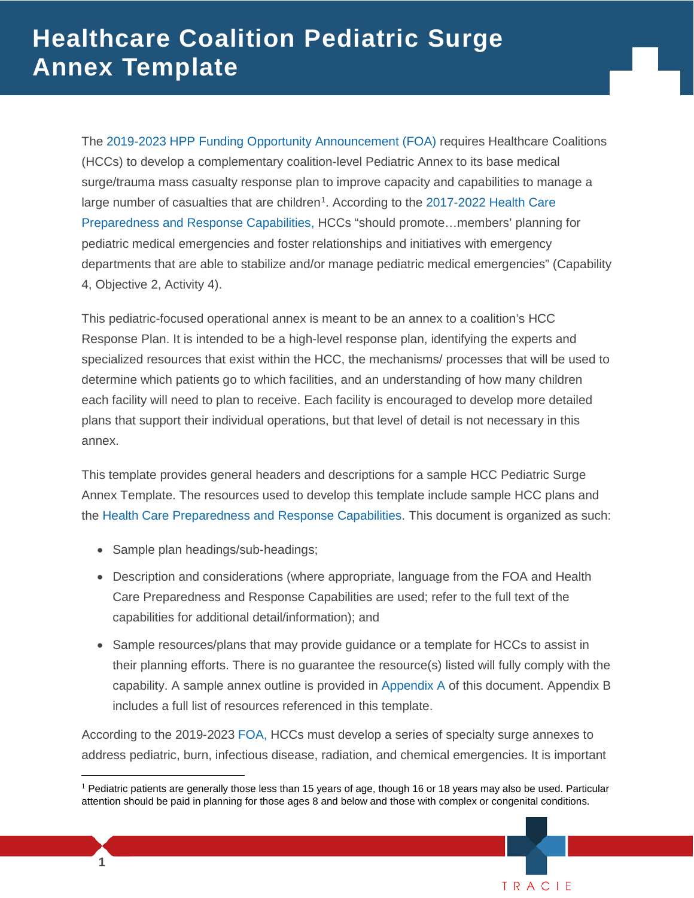large number of casualties that are children<sup>[1](#page-0-0)</sup>. According to the 2017-2022 Health Care The [2019-2023 HPP Funding Opportunity Announcement \(FOA\)](https://www.grants.gov/web/grants/view-opportunity.html?oppId=313435) requires Healthcare Coalitions (HCCs) to develop a complementary coalition-level Pediatric Annex to its base medical surge/trauma mass casualty response plan to improve capacity and capabilities to manage a [Preparedness and Response Capabilities,](https://www.phe.gov/Preparedness/planning/hpp/reports/Documents/2017-2022-healthcare-pr-capablities.pdf) HCCs "should promote…members' planning for pediatric medical emergencies and foster relationships and initiatives with emergency departments that are able to stabilize and/or manage pediatric medical emergencies" (Capability 4, Objective 2, Activity 4).

This pediatric-focused operational annex is meant to be an annex to a coalition's HCC Response Plan. It is intended to be a high-level response plan, identifying the experts and specialized resources that exist within the HCC, the mechanisms/ processes that will be used to determine which patients go to which facilities, and an understanding of how many children each facility will need to plan to receive. Each facility is encouraged to develop more detailed plans that support their individual operations, but that level of detail is not necessary in this annex.

 the [Health Care Preparedness and Response Capabilities.](http://www.phe.gov/Preparedness/planning/hpp/reports/Documents/2017-2022-healthcare-pr-capablities.pdf) This document is organized as such: This template provides general headers and descriptions for a sample HCC Pediatric Surge Annex Template. The resources used to develop this template include sample HCC plans and

- Sample plan headings/sub-headings;
- Care Preparedness and Response Capabilities are used; refer to the full text of the • Description and considerations (where appropriate, language from the FOA and Health capabilities for additional detail/information); and
- their planning efforts. There is no guarantee the resource(s) listed will fully comply with the • Sample resources/plans that may provide guidance or a template for HCCs to assist in capability. A sample annex outline is provided in [Appendix A](#page-13-0) of this document. Appendix B includes a full list of resources referenced in this template.

According to the 2019-2023 [FOA,](https://www.grants.gov/web/grants/view-opportunity.html?oppId=313435) HCCs must develop a series of specialty surge annexes to address pediatric, burn, infectious disease, radiation, and chemical emergencies. It is important

<sup>T</sup> RAC <sup>I</sup> <sup>E</sup>

 $\overline{a}$ 

<span id="page-0-0"></span><sup>&</sup>lt;sup>1</sup> Pediatric patients are generally those less than 15 years of age, though 16 or 18 years may also be used. Particular attention should be paid in planning for those ages 8 and below and those with complex or congenital conditions.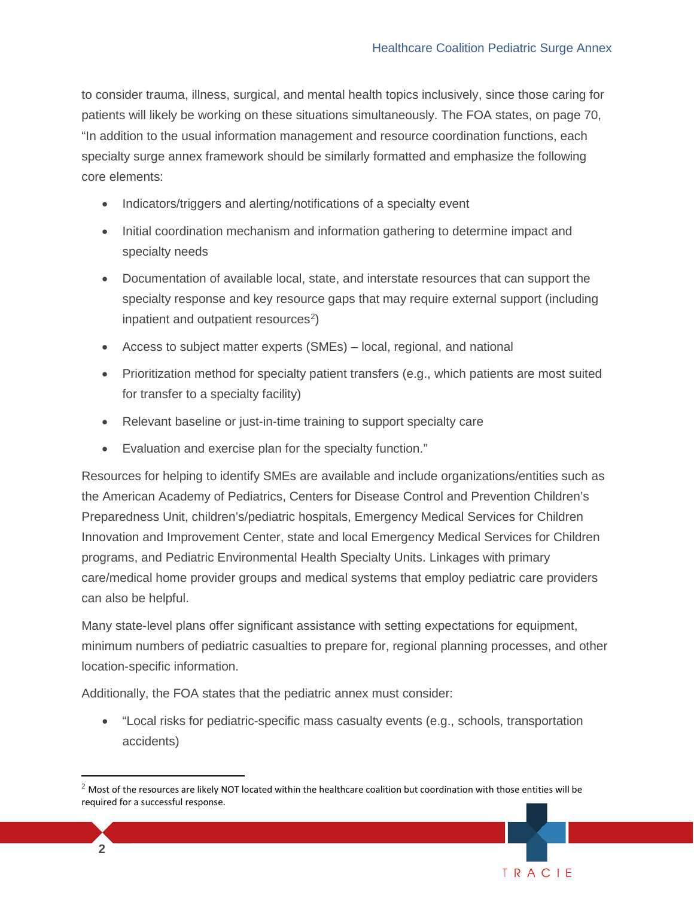TRACIE

 to consider trauma, illness, surgical, and mental health topics inclusively, since those caring for patients will likely be working on these situations simultaneously. The FOA states, on page 70, "In addition to the usual information management and resource coordination functions, each specialty surge annex framework should be similarly formatted and emphasize the following core elements:

- Indicators/triggers and alerting/notifications of a specialty event
- • Initial coordination mechanism and information gathering to determine impact and specialty needs
- specialty response and key resource gaps that may require external support (including • Documentation of available local, state, and interstate resources that can support the inpatient and outpatient resources<sup>[2](#page-1-0)</sup>)
- Access to subject matter experts (SMEs) local, regional, and national
- • Prioritization method for specialty patient transfers (e.g., which patients are most suited for transfer to a specialty facility)
- Relevant baseline or just-in-time training to support specialty care
- Evaluation and exercise plan for the specialty function."

 Resources for helping to identify SMEs are available and include organizations/entities such as can also be helpful. the American Academy of Pediatrics, Centers for Disease Control and Prevention Children's Preparedness Unit, children's/pediatric hospitals, Emergency Medical Services for Children Innovation and Improvement Center, state and local Emergency Medical Services for Children programs, and Pediatric Environmental Health Specialty Units. Linkages with primary care/medical home provider groups and medical systems that employ pediatric care providers

Many state-level plans offer significant assistance with setting expectations for equipment, minimum numbers of pediatric casualties to prepare for, regional planning processes, and other location-specific information.

Additionally, the FOA states that the pediatric annex must consider:

• "Local risks for pediatric-specific mass casualty events (e.g., schools, transportation accidents)

 $\overline{a}$ 

<span id="page-1-0"></span> $<sup>2</sup>$  Most of the resources are likely NOT located within the healthcare coalition but coordination with those entities will be</sup> required for a successful response.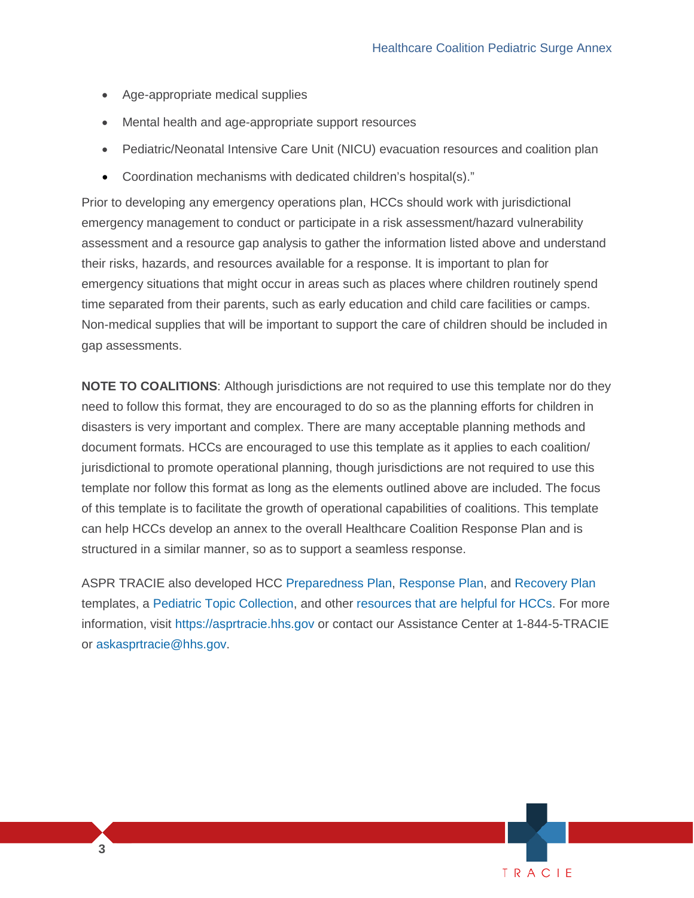TRACIE

- Age-appropriate medical supplies
- Mental health and age-appropriate support resources
- Pediatric/Neonatal Intensive Care Unit (NICU) evacuation resources and coalition plan
- Coordination mechanisms with dedicated children's hospital(s)."

 their risks, hazards, and resources available for a response. It is important to plan for emergency situations that might occur in areas such as places where children routinely spend gap assessments. Prior to developing any emergency operations plan, HCCs should work with jurisdictional emergency management to conduct or participate in a risk assessment/hazard vulnerability assessment and a resource gap analysis to gather the information listed above and understand time separated from their parents, such as early education and child care facilities or camps. Non-medical supplies that will be important to support the care of children should be included in

 need to follow this format, they are encouraged to do so as the planning efforts for children in disasters is very important and complex. There are many acceptable planning methods and document formats. HCCs are encouraged to use this template as it applies to each coalition/ template nor follow this format as long as the elements outlined above are included. The focus **NOTE TO COALITIONS**: Although jurisdictions are not required to use this template nor do they jurisdictional to promote operational planning, though jurisdictions are not required to use this of this template is to facilitate the growth of operational capabilities of coalitions. This template can help HCCs develop an annex to the overall Healthcare Coalition Response Plan and is structured in a similar manner, so as to support a seamless response.

 templates, a [Pediatric Topic Collection,](https://asprtracie.hhs.gov/technical-resources/31/pediatric/27) and other [resources that are helpful for HCCs.](https://asprtracie.hhs.gov/hcc-resources) For more ASPR TRACIE also developed HCC [Preparedness Plan,](https://files.asprtracie.hhs.gov/documents/aspr-tracie-hcc-preparedness-plan-508.pdf) [Response Plan,](https://files.asprtracie.hhs.gov/documents/aspr-tracie-hcc-response-plan-508.pdf) and [Recovery Plan](https://files.asprtracie.hhs.gov/documents/aspr-tracie-hcc-recovery-plan-template.pdf)  information, visit [https://asprtracie.hhs.gov](https://asprtracie.hhs.gov/) or contact our Assistance Center at 1-844-5-TRACIE or askasprtracie@hhs.gov.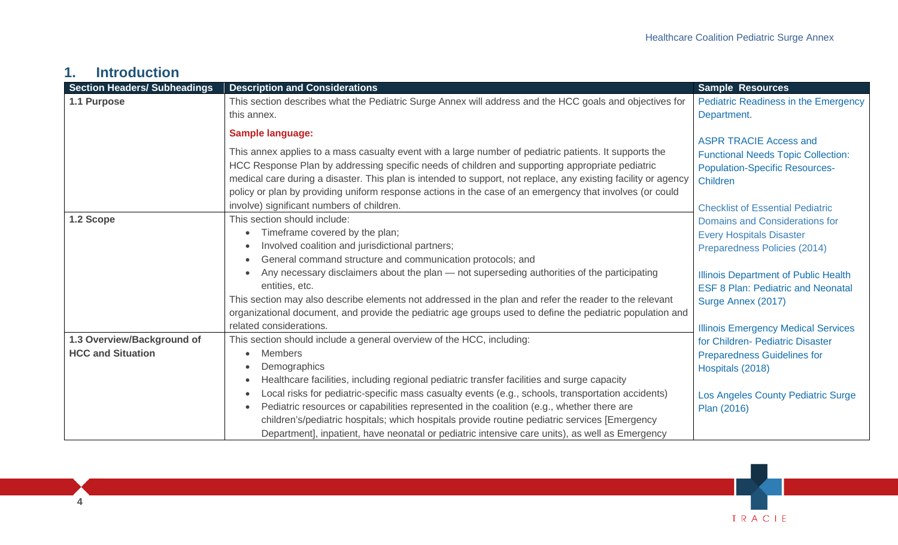## **1. Introduction**

| <b>Section Headers/ Subheadings</b> | <b>Description and Considerations</b>                                                                          | <b>Sample Resources</b>                                                    |
|-------------------------------------|----------------------------------------------------------------------------------------------------------------|----------------------------------------------------------------------------|
| 1.1 Purpose                         | This section describes what the Pediatric Surge Annex will address and the HCC goals and objectives for        | <b>Pediatric Readiness in the Emergency</b>                                |
|                                     | this annex.                                                                                                    | Department.                                                                |
|                                     | <b>Sample language:</b>                                                                                        |                                                                            |
|                                     | This annex applies to a mass casualty event with a large number of pediatric patients. It supports the         | <b>ASPR TRACIE Access and</b><br><b>Functional Needs Topic Collection:</b> |
|                                     | HCC Response Plan by addressing specific needs of children and supporting appropriate pediatric                | <b>Population-Specific Resources-</b>                                      |
|                                     | medical care during a disaster. This plan is intended to support, not replace, any existing facility or agency | <b>Children</b>                                                            |
|                                     | policy or plan by providing uniform response actions in the case of an emergency that involves (or could       |                                                                            |
|                                     | involve) significant numbers of children.                                                                      | <b>Checklist of Essential Pediatric</b>                                    |
| 1.2 Scope                           | This section should include:                                                                                   | <b>Domains and Considerations for</b>                                      |
|                                     | Timeframe covered by the plan;<br>$\bullet$                                                                    | <b>Every Hospitals Disaster</b>                                            |
|                                     | Involved coalition and jurisdictional partners;<br>$\bullet$                                                   | Preparedness Policies (2014)                                               |
|                                     | General command structure and communication protocols; and                                                     |                                                                            |
|                                     | Any necessary disclaimers about the plan - not superseding authorities of the participating                    | <b>Illinois Department of Public Health</b>                                |
|                                     | entities, etc.                                                                                                 | <b>ESF 8 Plan: Pediatric and Neonatal</b>                                  |
|                                     | This section may also describe elements not addressed in the plan and refer the reader to the relevant         | Surge Annex (2017)                                                         |
|                                     | organizational document, and provide the pediatric age groups used to define the pediatric population and      |                                                                            |
|                                     | related considerations.                                                                                        | <b>Illinois Emergency Medical Services</b>                                 |
| 1.3 Overview/Background of          | This section should include a general overview of the HCC, including:                                          | for Children- Pediatric Disaster                                           |
| <b>HCC and Situation</b>            | <b>Members</b><br>$\bullet$                                                                                    | <b>Preparedness Guidelines for</b>                                         |
|                                     | Demographics<br>$\bullet$                                                                                      | Hospitals (2018)                                                           |
|                                     | Healthcare facilities, including regional pediatric transfer facilities and surge capacity<br>$\bullet$        |                                                                            |
|                                     | Local risks for pediatric-specific mass casualty events (e.g., schools, transportation accidents)              | Los Angeles County Pediatric Surge                                         |
|                                     | Pediatric resources or capabilities represented in the coalition (e.g., whether there are                      | Plan (2016)                                                                |
|                                     | children's/pediatric hospitals; which hospitals provide routine pediatric services [Emergency                  |                                                                            |
|                                     | Department], inpatient, have neonatal or pediatric intensive care units), as well as Emergency                 |                                                                            |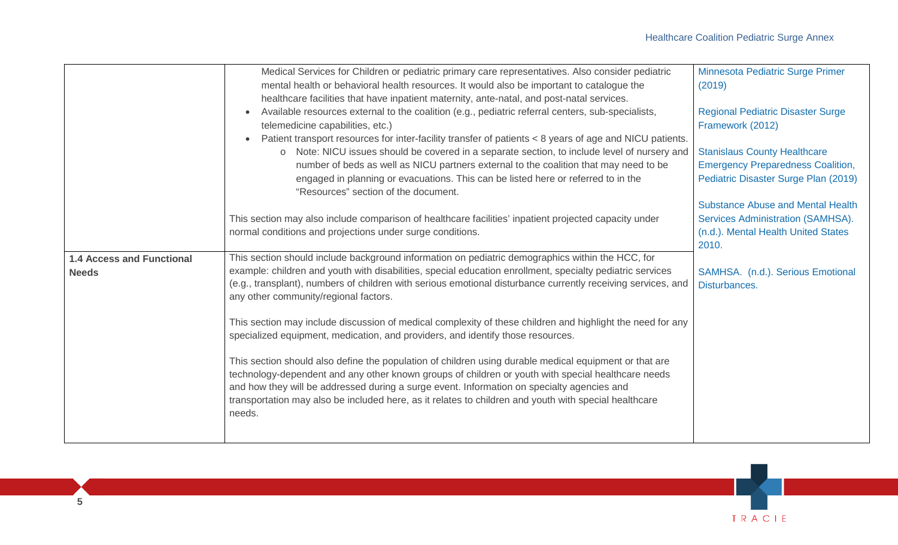|                                                  | Medical Services for Children or pediatric primary care representatives. Also consider pediatric<br>mental health or behavioral health resources. It would also be important to catalogue the<br>healthcare facilities that have inpatient maternity, ante-natal, and post-natal services.                                                                                                                                                                                                                                                                              | Minnesota Pediatric Surge Primer<br>(2019)                                                                                    |
|--------------------------------------------------|-------------------------------------------------------------------------------------------------------------------------------------------------------------------------------------------------------------------------------------------------------------------------------------------------------------------------------------------------------------------------------------------------------------------------------------------------------------------------------------------------------------------------------------------------------------------------|-------------------------------------------------------------------------------------------------------------------------------|
|                                                  | Available resources external to the coalition (e.g., pediatric referral centers, sub-specialists,<br>$\bullet$<br>telemedicine capabilities, etc.)<br>Patient transport resources for inter-facility transfer of patients < 8 years of age and NICU patients.                                                                                                                                                                                                                                                                                                           | <b>Regional Pediatric Disaster Surge</b><br>Framework (2012)                                                                  |
|                                                  | Note: NICU issues should be covered in a separate section, to include level of nursery and<br>$\circ$<br>number of beds as well as NICU partners external to the coalition that may need to be<br>engaged in planning or evacuations. This can be listed here or referred to in the<br>"Resources" section of the document.                                                                                                                                                                                                                                             | <b>Stanislaus County Healthcare</b><br><b>Emergency Preparedness Coalition,</b><br>Pediatric Disaster Surge Plan (2019)       |
|                                                  | This section may also include comparison of healthcare facilities' inpatient projected capacity under<br>normal conditions and projections under surge conditions.                                                                                                                                                                                                                                                                                                                                                                                                      | <b>Substance Abuse and Mental Health</b><br>Services Administration (SAMHSA).<br>(n.d.). Mental Health United States<br>2010. |
| <b>1.4 Access and Functional</b><br><b>Needs</b> | This section should include background information on pediatric demographics within the HCC, for<br>example: children and youth with disabilities, special education enrollment, specialty pediatric services<br>(e.g., transplant), numbers of children with serious emotional disturbance currently receiving services, and<br>any other community/regional factors.<br>This section may include discussion of medical complexity of these children and highlight the need for any<br>specialized equipment, medication, and providers, and identify those resources. | SAMHSA. (n.d.). Serious Emotional<br>Disturbances.                                                                            |
|                                                  | This section should also define the population of children using durable medical equipment or that are<br>technology-dependent and any other known groups of children or youth with special healthcare needs<br>and how they will be addressed during a surge event. Information on specialty agencies and<br>transportation may also be included here, as it relates to children and youth with special healthcare<br>needs.                                                                                                                                           |                                                                                                                               |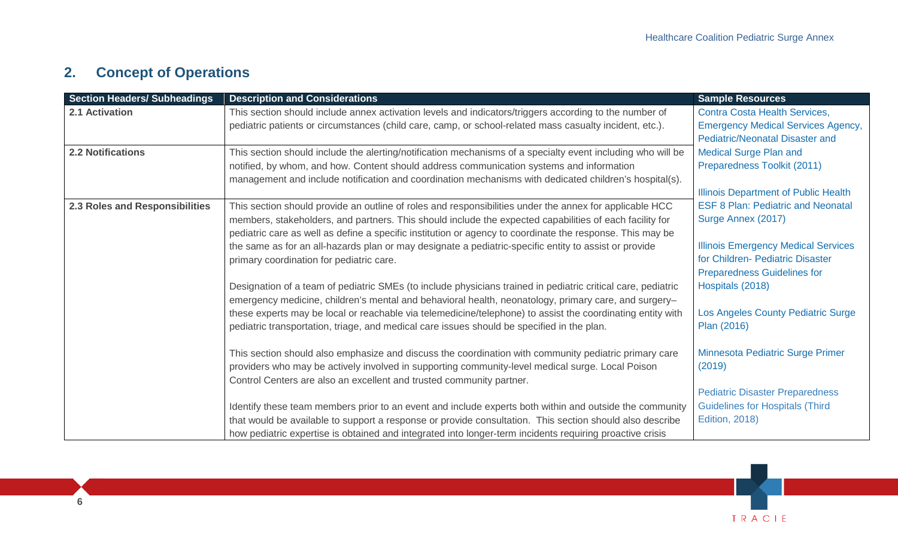# **2. Concept of Operations**

| <b>Section Headers/ Subheadings</b> | <b>Description and Considerations</b>                                                                                                                                                                                                                                                                                                                                                                                                                                                | <b>Sample Resources</b>                                                                                                                           |
|-------------------------------------|--------------------------------------------------------------------------------------------------------------------------------------------------------------------------------------------------------------------------------------------------------------------------------------------------------------------------------------------------------------------------------------------------------------------------------------------------------------------------------------|---------------------------------------------------------------------------------------------------------------------------------------------------|
| 2.1 Activation                      | This section should include annex activation levels and indicators/triggers according to the number of<br>pediatric patients or circumstances (child care, camp, or school-related mass casualty incident, etc.).                                                                                                                                                                                                                                                                    | Contra Costa Health Services,<br><b>Emergency Medical Services Agency,</b><br><b>Pediatric/Neonatal Disaster and</b>                              |
| <b>2.2 Notifications</b>            | This section should include the alerting/notification mechanisms of a specialty event including who will be<br>notified, by whom, and how. Content should address communication systems and information<br>management and include notification and coordination mechanisms with dedicated children's hospital(s).                                                                                                                                                                    | <b>Medical Surge Plan and</b><br>Preparedness Toolkit (2011)<br><b>Illinois Department of Public Health</b>                                       |
| 2.3 Roles and Responsibilities      | This section should provide an outline of roles and responsibilities under the annex for applicable HCC<br>members, stakeholders, and partners. This should include the expected capabilities of each facility for<br>pediatric care as well as define a specific institution or agency to coordinate the response. This may be<br>the same as for an all-hazards plan or may designate a pediatric-specific entity to assist or provide<br>primary coordination for pediatric care. | <b>ESF 8 Plan: Pediatric and Neonatal</b><br>Surge Annex (2017)<br><b>Illinois Emergency Medical Services</b><br>for Children- Pediatric Disaster |
|                                     | Designation of a team of pediatric SMEs (to include physicians trained in pediatric critical care, pediatric<br>emergency medicine, children's mental and behavioral health, neonatology, primary care, and surgery-<br>these experts may be local or reachable via telemedicine/telephone) to assist the coordinating entity with                                                                                                                                                   | <b>Preparedness Guidelines for</b><br>Hospitals (2018)<br>Los Angeles County Pediatric Surge                                                      |
|                                     | pediatric transportation, triage, and medical care issues should be specified in the plan.<br>This section should also emphasize and discuss the coordination with community pediatric primary care<br>providers who may be actively involved in supporting community-level medical surge. Local Poison<br>Control Centers are also an excellent and trusted community partner.                                                                                                      | Plan (2016)<br>Minnesota Pediatric Surge Primer<br>(2019)                                                                                         |
|                                     | Identify these team members prior to an event and include experts both within and outside the community<br>that would be available to support a response or provide consultation. This section should also describe<br>how pediatric expertise is obtained and integrated into longer-term incidents requiring proactive crisis                                                                                                                                                      | <b>Pediatric Disaster Preparedness</b><br><b>Guidelines for Hospitals (Third)</b><br><b>Edition, 2018)</b>                                        |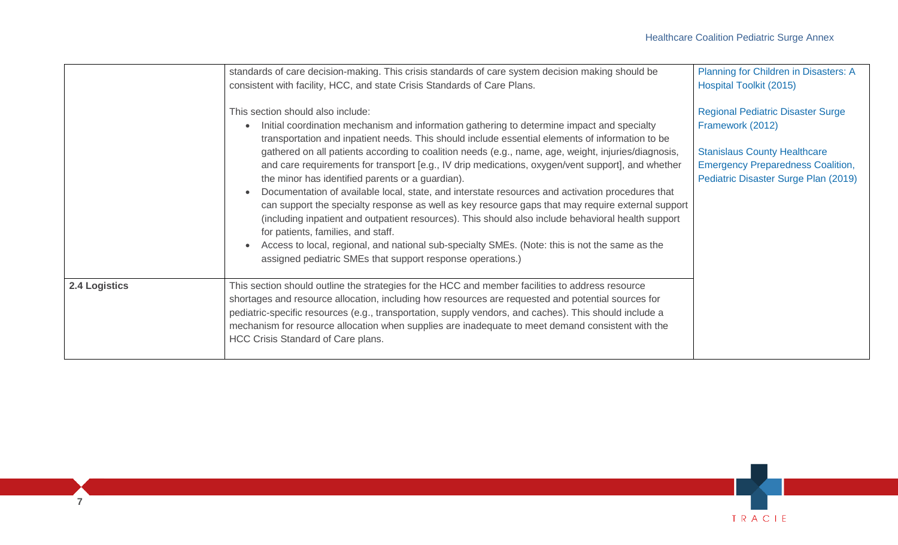|                      | standards of care decision-making. This crisis standards of care system decision making should be<br>consistent with facility, HCC, and state Crisis Standards of Care Plans.                                                                                                                                                                                                                                                                                                                                                                                                                                                                                                                                                                                                                                                                                                                                                                                                                                           | Planning for Children in Disasters: A<br><b>Hospital Toolkit (2015)</b>                                                                                                                 |
|----------------------|-------------------------------------------------------------------------------------------------------------------------------------------------------------------------------------------------------------------------------------------------------------------------------------------------------------------------------------------------------------------------------------------------------------------------------------------------------------------------------------------------------------------------------------------------------------------------------------------------------------------------------------------------------------------------------------------------------------------------------------------------------------------------------------------------------------------------------------------------------------------------------------------------------------------------------------------------------------------------------------------------------------------------|-----------------------------------------------------------------------------------------------------------------------------------------------------------------------------------------|
|                      | This section should also include:<br>Initial coordination mechanism and information gathering to determine impact and specialty<br>transportation and inpatient needs. This should include essential elements of information to be<br>gathered on all patients according to coalition needs (e.g., name, age, weight, injuries/diagnosis,<br>and care requirements for transport [e.g., IV drip medications, oxygen/vent support], and whether<br>the minor has identified parents or a guardian).<br>Documentation of available local, state, and interstate resources and activation procedures that<br>can support the specialty response as well as key resource gaps that may require external support<br>(including inpatient and outpatient resources). This should also include behavioral health support<br>for patients, families, and staff.<br>Access to local, regional, and national sub-specialty SMEs. (Note: this is not the same as the<br>assigned pediatric SMEs that support response operations.) | <b>Regional Pediatric Disaster Surge</b><br>Framework (2012)<br><b>Stanislaus County Healthcare</b><br><b>Emergency Preparedness Coalition,</b><br>Pediatric Disaster Surge Plan (2019) |
| <b>2.4 Logistics</b> | This section should outline the strategies for the HCC and member facilities to address resource<br>shortages and resource allocation, including how resources are requested and potential sources for<br>pediatric-specific resources (e.g., transportation, supply vendors, and caches). This should include a<br>mechanism for resource allocation when supplies are inadequate to meet demand consistent with the<br>HCC Crisis Standard of Care plans.                                                                                                                                                                                                                                                                                                                                                                                                                                                                                                                                                             |                                                                                                                                                                                         |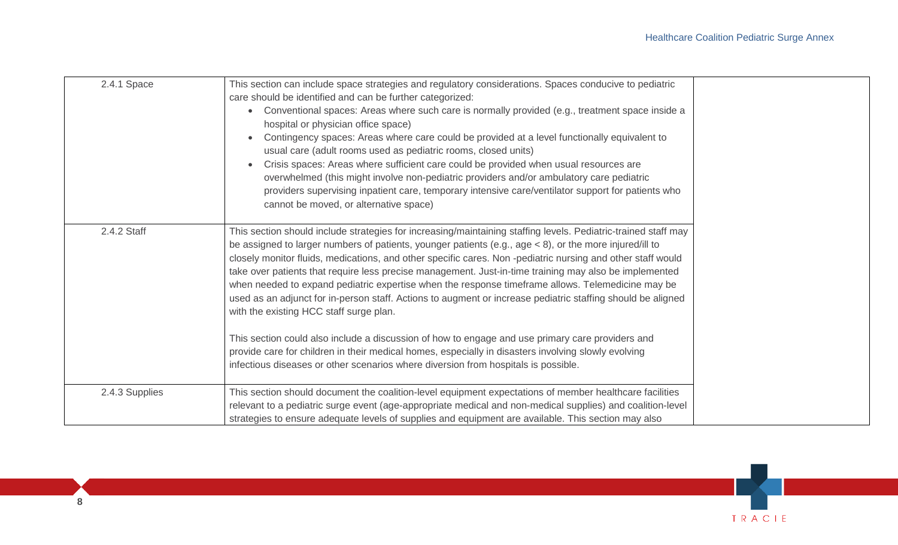| 2.4.1 Space    | This section can include space strategies and regulatory considerations. Spaces conducive to pediatric<br>care should be identified and can be further categorized:<br>Conventional spaces: Areas where such care is normally provided (e.g., treatment space inside a<br>$\bullet$<br>hospital or physician office space)<br>Contingency spaces: Areas where care could be provided at a level functionally equivalent to<br>usual care (adult rooms used as pediatric rooms, closed units)<br>Crisis spaces: Areas where sufficient care could be provided when usual resources are<br>overwhelmed (this might involve non-pediatric providers and/or ambulatory care pediatric<br>providers supervising inpatient care, temporary intensive care/ventilator support for patients who<br>cannot be moved, or alternative space)                                                                                                                                                                                 |
|----------------|-------------------------------------------------------------------------------------------------------------------------------------------------------------------------------------------------------------------------------------------------------------------------------------------------------------------------------------------------------------------------------------------------------------------------------------------------------------------------------------------------------------------------------------------------------------------------------------------------------------------------------------------------------------------------------------------------------------------------------------------------------------------------------------------------------------------------------------------------------------------------------------------------------------------------------------------------------------------------------------------------------------------|
| 2.4.2 Staff    | This section should include strategies for increasing/maintaining staffing levels. Pediatric-trained staff may<br>be assigned to larger numbers of patients, younger patients (e.g., age < 8), or the more injured/ill to<br>closely monitor fluids, medications, and other specific cares. Non-pediatric nursing and other staff would<br>take over patients that require less precise management. Just-in-time training may also be implemented<br>when needed to expand pediatric expertise when the response timeframe allows. Telemedicine may be<br>used as an adjunct for in-person staff. Actions to augment or increase pediatric staffing should be aligned<br>with the existing HCC staff surge plan.<br>This section could also include a discussion of how to engage and use primary care providers and<br>provide care for children in their medical homes, especially in disasters involving slowly evolving<br>infectious diseases or other scenarios where diversion from hospitals is possible. |
| 2.4.3 Supplies | This section should document the coalition-level equipment expectations of member healthcare facilities<br>relevant to a pediatric surge event (age-appropriate medical and non-medical supplies) and coalition-level<br>strategies to ensure adequate levels of supplies and equipment are available. This section may also                                                                                                                                                                                                                                                                                                                                                                                                                                                                                                                                                                                                                                                                                      |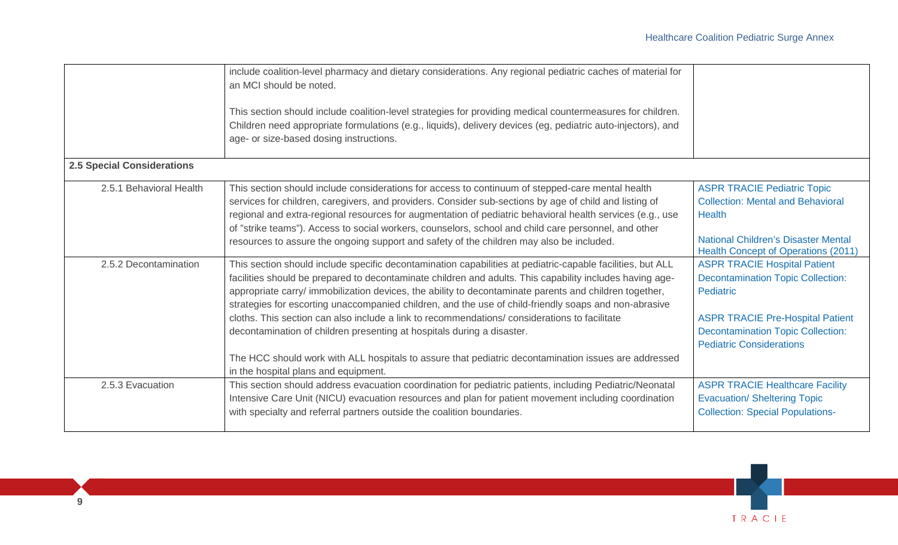| <b>2.5 Special Considerations</b> | include coalition-level pharmacy and dietary considerations. Any regional pediatric caches of material for<br>an MCI should be noted.<br>This section should include coalition-level strategies for providing medical countermeasures for children.<br>Children need appropriate formulations (e.g., liquids), delivery devices (eg, pediatric auto-injectors), and<br>age- or size-based dosing instructions.                                                                                                              |                                                                                                                                               |
|-----------------------------------|-----------------------------------------------------------------------------------------------------------------------------------------------------------------------------------------------------------------------------------------------------------------------------------------------------------------------------------------------------------------------------------------------------------------------------------------------------------------------------------------------------------------------------|-----------------------------------------------------------------------------------------------------------------------------------------------|
|                                   |                                                                                                                                                                                                                                                                                                                                                                                                                                                                                                                             |                                                                                                                                               |
| 2.5.1 Behavioral Health           | This section should include considerations for access to continuum of stepped-care mental health<br>services for children, caregivers, and providers. Consider sub-sections by age of child and listing of<br>regional and extra-regional resources for augmentation of pediatric behavioral health services (e.g., use<br>of "strike teams"). Access to social workers, counselors, school and child care personnel, and other<br>resources to assure the ongoing support and safety of the children may also be included. | <b>ASPR TRACIE Pediatric Topic</b><br><b>Collection: Mental and Behavioral</b><br><b>Health</b><br><b>National Children's Disaster Mental</b> |
| 2.5.2 Decontamination             |                                                                                                                                                                                                                                                                                                                                                                                                                                                                                                                             | <b>Health Concept of Operations (2011)</b>                                                                                                    |
|                                   | This section should include specific decontamination capabilities at pediatric-capable facilities, but ALL<br>facilities should be prepared to decontaminate children and adults. This capability includes having age-<br>appropriate carry/ immobilization devices, the ability to decontaminate parents and children together,<br>strategies for escorting unaccompanied children, and the use of child-friendly soaps and non-abrasive                                                                                   | <b>ASPR TRACIE Hospital Patient</b><br><b>Decontamination Topic Collection:</b><br>Pediatric                                                  |
|                                   | cloths. This section can also include a link to recommendations/considerations to facilitate<br>decontamination of children presenting at hospitals during a disaster.                                                                                                                                                                                                                                                                                                                                                      | <b>ASPR TRACIE Pre-Hospital Patient</b><br><b>Decontamination Topic Collection:</b><br><b>Pediatric Considerations</b>                        |
|                                   | The HCC should work with ALL hospitals to assure that pediatric decontamination issues are addressed<br>in the hospital plans and equipment.                                                                                                                                                                                                                                                                                                                                                                                |                                                                                                                                               |
| 2.5.3 Evacuation                  | This section should address evacuation coordination for pediatric patients, including Pediatric/Neonatal<br>Intensive Care Unit (NICU) evacuation resources and plan for patient movement including coordination<br>with specialty and referral partners outside the coalition boundaries.                                                                                                                                                                                                                                  | <b>ASPR TRACIE Healthcare Facility</b><br><b>Evacuation/ Sheltering Topic</b><br><b>Collection: Special Populations-</b>                      |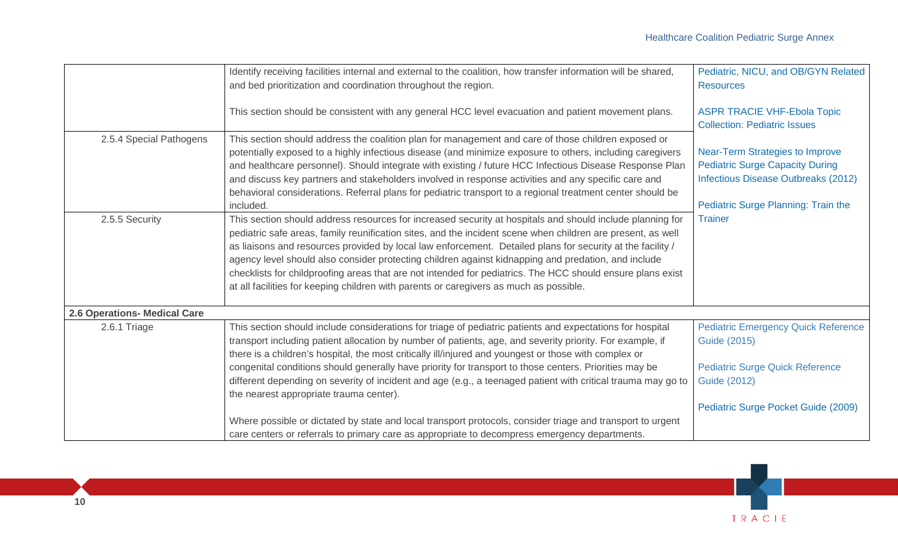|                              | Identify receiving facilities internal and external to the coalition, how transfer information will be shared,<br>and bed prioritization and coordination throughout the region.                                                                                                                                                                                                                                                                                                                                                                                                                                                                      | Pediatric, NICU, and OB/GYN Related<br><b>Resources</b>                                                                                                        |
|------------------------------|-------------------------------------------------------------------------------------------------------------------------------------------------------------------------------------------------------------------------------------------------------------------------------------------------------------------------------------------------------------------------------------------------------------------------------------------------------------------------------------------------------------------------------------------------------------------------------------------------------------------------------------------------------|----------------------------------------------------------------------------------------------------------------------------------------------------------------|
|                              | This section should be consistent with any general HCC level evacuation and patient movement plans.                                                                                                                                                                                                                                                                                                                                                                                                                                                                                                                                                   | <b>ASPR TRACIE VHF-Ebola Topic</b><br><b>Collection: Pediatric Issues</b>                                                                                      |
| 2.5.4 Special Pathogens      | This section should address the coalition plan for management and care of those children exposed or<br>potentially exposed to a highly infectious disease (and minimize exposure to others, including caregivers<br>and healthcare personnel). Should integrate with existing / future HCC Infectious Disease Response Plan<br>and discuss key partners and stakeholders involved in response activities and any specific care and<br>behavioral considerations. Referral plans for pediatric transport to a regional treatment center should be<br>included.                                                                                         | <b>Near-Term Strategies to Improve</b><br><b>Pediatric Surge Capacity During</b><br>Infectious Disease Outbreaks (2012)<br>Pediatric Surge Planning: Train the |
| 2.5.5 Security               | This section should address resources for increased security at hospitals and should include planning for<br>pediatric safe areas, family reunification sites, and the incident scene when children are present, as well<br>as liaisons and resources provided by local law enforcement. Detailed plans for security at the facility /<br>agency level should also consider protecting children against kidnapping and predation, and include<br>checklists for childproofing areas that are not intended for pediatrics. The HCC should ensure plans exist<br>at all facilities for keeping children with parents or caregivers as much as possible. | <b>Trainer</b>                                                                                                                                                 |
| 2.6 Operations- Medical Care |                                                                                                                                                                                                                                                                                                                                                                                                                                                                                                                                                                                                                                                       |                                                                                                                                                                |
| 2.6.1 Triage                 | This section should include considerations for triage of pediatric patients and expectations for hospital<br>transport including patient allocation by number of patients, age, and severity priority. For example, if<br>there is a children's hospital, the most critically ill/injured and youngest or those with complex or                                                                                                                                                                                                                                                                                                                       | <b>Pediatric Emergency Quick Reference</b><br>Guide (2015)                                                                                                     |
|                              | congenital conditions should generally have priority for transport to those centers. Priorities may be<br>different depending on severity of incident and age (e.g., a teenaged patient with critical trauma may go to<br>the nearest appropriate trauma center).                                                                                                                                                                                                                                                                                                                                                                                     | <b>Pediatric Surge Quick Reference</b><br><b>Guide (2012)</b>                                                                                                  |
|                              |                                                                                                                                                                                                                                                                                                                                                                                                                                                                                                                                                                                                                                                       | Pediatric Surge Pocket Guide (2009)                                                                                                                            |
|                              | Where possible or dictated by state and local transport protocols, consider triage and transport to urgent<br>care centers or referrals to primary care as appropriate to decompress emergency departments.                                                                                                                                                                                                                                                                                                                                                                                                                                           |                                                                                                                                                                |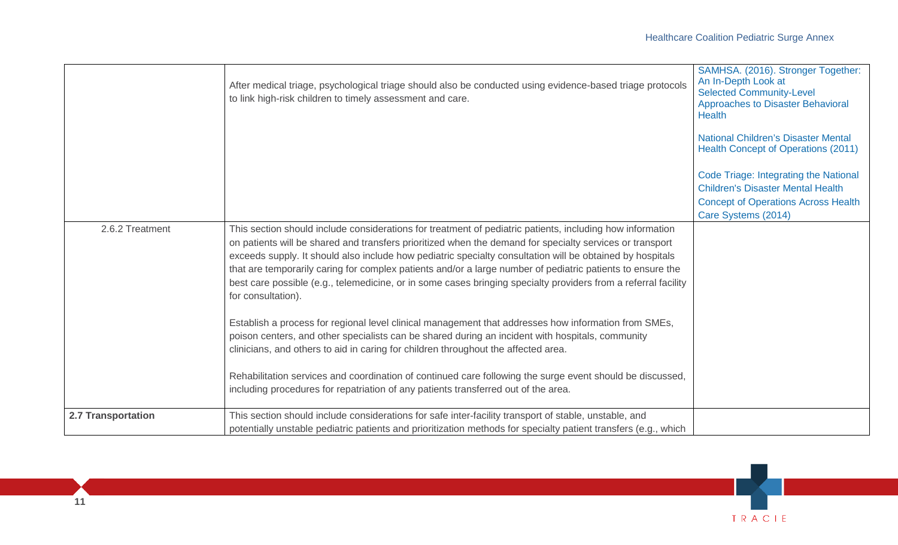| <b>Children's Disaster Mental Health</b><br><b>Concept of Operations Across Health</b><br>Care Systems (2014)                                                                                                                                                                                                                                                                                                                                                                                                                                                                                               |  |
|-------------------------------------------------------------------------------------------------------------------------------------------------------------------------------------------------------------------------------------------------------------------------------------------------------------------------------------------------------------------------------------------------------------------------------------------------------------------------------------------------------------------------------------------------------------------------------------------------------------|--|
| 2.6.2 Treatment<br>This section should include considerations for treatment of pediatric patients, including how information<br>on patients will be shared and transfers prioritized when the demand for specialty services or transport<br>exceeds supply. It should also include how pediatric specialty consultation will be obtained by hospitals<br>that are temporarily caring for complex patients and/or a large number of pediatric patients to ensure the<br>best care possible (e.g., telemedicine, or in some cases bringing specialty providers from a referral facility<br>for consultation). |  |
| Establish a process for regional level clinical management that addresses how information from SMEs,<br>poison centers, and other specialists can be shared during an incident with hospitals, community<br>clinicians, and others to aid in caring for children throughout the affected area.<br>Rehabilitation services and coordination of continued care following the surge event should be discussed,<br>including procedures for repatriation of any patients transferred out of the area.                                                                                                           |  |
| 2.7 Transportation<br>This section should include considerations for safe inter-facility transport of stable, unstable, and<br>potentially unstable pediatric patients and prioritization methods for specialty patient transfers (e.g., which                                                                                                                                                                                                                                                                                                                                                              |  |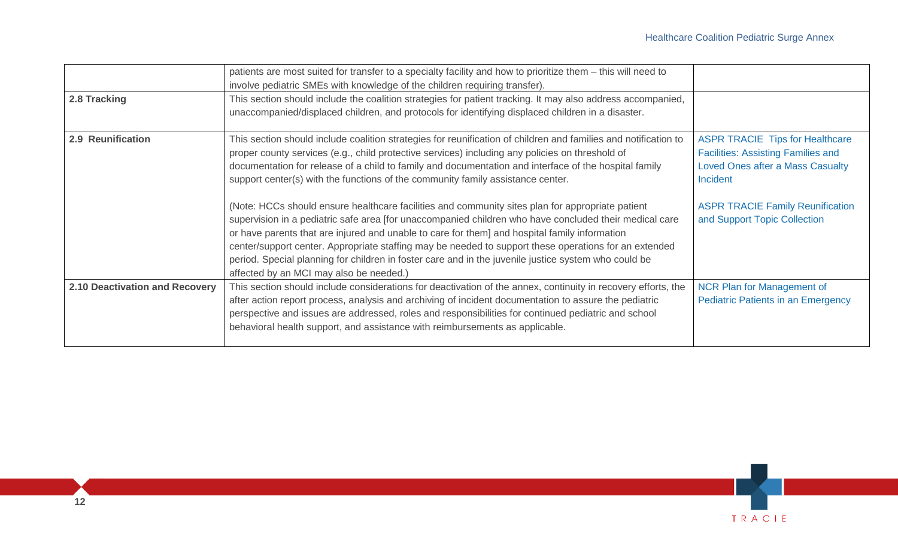|                                | patients are most suited for transfer to a specialty facility and how to prioritize them - this will need to<br>involve pediatric SMEs with knowledge of the children requiring transfer).                                                                                                                                                                                                                                                                                                                                                                                                                                                                                                                                                                                                                                                                                                                                                                                                |                                                                                                                                                                                                                       |
|--------------------------------|-------------------------------------------------------------------------------------------------------------------------------------------------------------------------------------------------------------------------------------------------------------------------------------------------------------------------------------------------------------------------------------------------------------------------------------------------------------------------------------------------------------------------------------------------------------------------------------------------------------------------------------------------------------------------------------------------------------------------------------------------------------------------------------------------------------------------------------------------------------------------------------------------------------------------------------------------------------------------------------------|-----------------------------------------------------------------------------------------------------------------------------------------------------------------------------------------------------------------------|
| 2.8 Tracking                   | This section should include the coalition strategies for patient tracking. It may also address accompanied,<br>unaccompanied/displaced children, and protocols for identifying displaced children in a disaster.                                                                                                                                                                                                                                                                                                                                                                                                                                                                                                                                                                                                                                                                                                                                                                          |                                                                                                                                                                                                                       |
| 2.9 Reunification              | This section should include coalition strategies for reunification of children and families and notification to<br>proper county services (e.g., child protective services) including any policies on threshold of<br>documentation for release of a child to family and documentation and interface of the hospital family<br>support center(s) with the functions of the community family assistance center.<br>(Note: HCCs should ensure healthcare facilities and community sites plan for appropriate patient<br>supervision in a pediatric safe area [for unaccompanied children who have concluded their medical care<br>or have parents that are injured and unable to care for them] and hospital family information<br>center/support center. Appropriate staffing may be needed to support these operations for an extended<br>period. Special planning for children in foster care and in the juvenile justice system who could be<br>affected by an MCI may also be needed.) | <b>ASPR TRACIE Tips for Healthcare</b><br><b>Facilities: Assisting Families and</b><br><b>Loved Ones after a Mass Casualty</b><br>Incident<br><b>ASPR TRACIE Family Reunification</b><br>and Support Topic Collection |
| 2.10 Deactivation and Recovery | This section should include considerations for deactivation of the annex, continuity in recovery efforts, the<br>after action report process, analysis and archiving of incident documentation to assure the pediatric<br>perspective and issues are addressed, roles and responsibilities for continued pediatric and school<br>behavioral health support, and assistance with reimbursements as applicable.                                                                                                                                                                                                                                                                                                                                                                                                                                                                                                                                                                             | <b>NCR Plan for Management of</b><br><b>Pediatric Patients in an Emergency</b>                                                                                                                                        |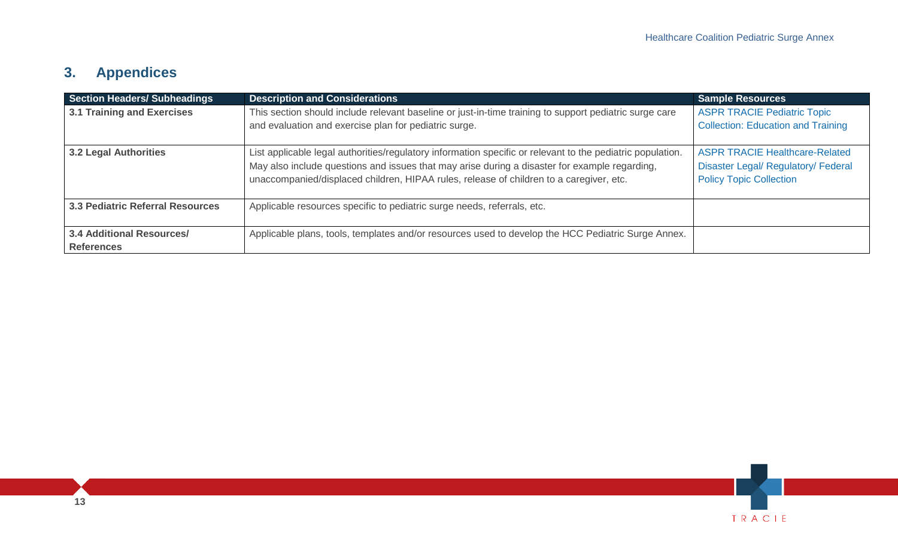# **3. Appendices**

| <b>Section Headers/ Subheadings</b>                   | <b>Description and Considerations</b>                                                                                                                                                                                                                                                                  | <b>Sample Resources</b>                                                                                               |
|-------------------------------------------------------|--------------------------------------------------------------------------------------------------------------------------------------------------------------------------------------------------------------------------------------------------------------------------------------------------------|-----------------------------------------------------------------------------------------------------------------------|
| <b>3.1 Training and Exercises</b>                     | This section should include relevant baseline or just-in-time training to support pediatric surge care<br>and evaluation and exercise plan for pediatric surge.                                                                                                                                        | <b>ASPR TRACIE Pediatric Topic</b><br><b>Collection: Education and Training</b>                                       |
| <b>3.2 Legal Authorities</b>                          | List applicable legal authorities/regulatory information specific or relevant to the pediatric population.<br>May also include questions and issues that may arise during a disaster for example regarding,<br>unaccompanied/displaced children, HIPAA rules, release of children to a caregiver, etc. | <b>ASPR TRACIE Healthcare-Related</b><br><b>Disaster Legal/ Regulatory/ Federal</b><br><b>Policy Topic Collection</b> |
| <b>3.3 Pediatric Referral Resources</b>               | Applicable resources specific to pediatric surge needs, referrals, etc.                                                                                                                                                                                                                                |                                                                                                                       |
| <b>3.4 Additional Resources/</b><br><b>References</b> | Applicable plans, tools, templates and/or resources used to develop the HCC Pediatric Surge Annex.                                                                                                                                                                                                     |                                                                                                                       |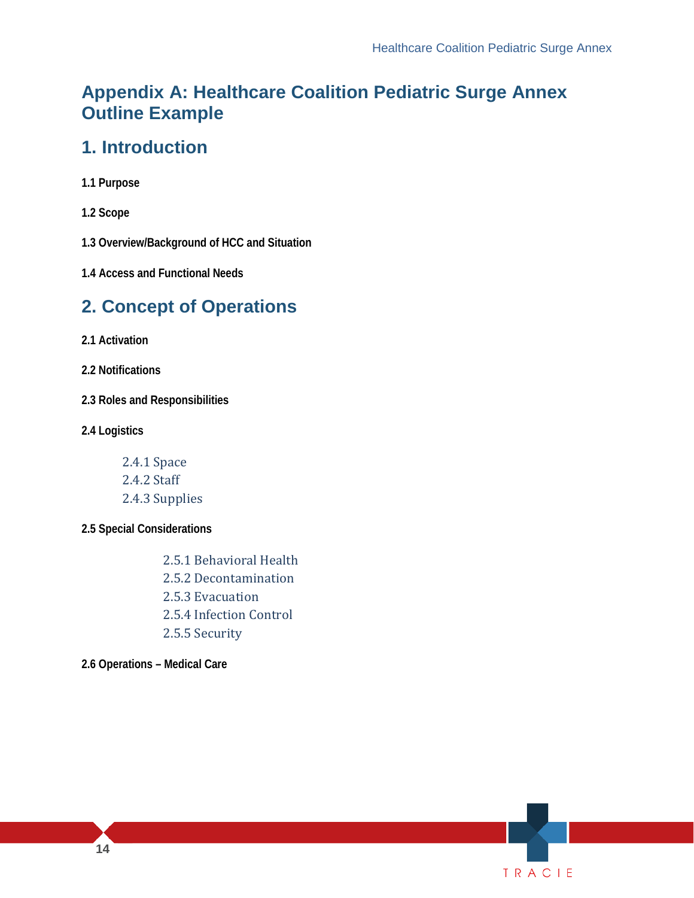### <span id="page-13-0"></span>**Appendix A: Healthcare Coalition Pediatric Surge Annex Outline Example**

### **1. Introduction**

- **1.1 Purpose**
- **1.2 Scope**

**1.3 Overview/Background of HCC and Situation** 

 **1.4 Access and Functional Needs** 

### **2. Concept of Operations**

**2.1 Activation** 

**2.2 Notifications** 

**2.3 Roles and Responsibilities** 

**2.4 Logistics** 

2.4.1 Space 2.4.2 Staff 2.4.3 Supplies

#### **2.5 Special Considerations**

2.5.1 Behavioral Health 2.5.2 Decontamination 2.5.3 Evacuation 2.5.4 Infection Control 2.5.5 Security

**2.6 Operations – Medical Care**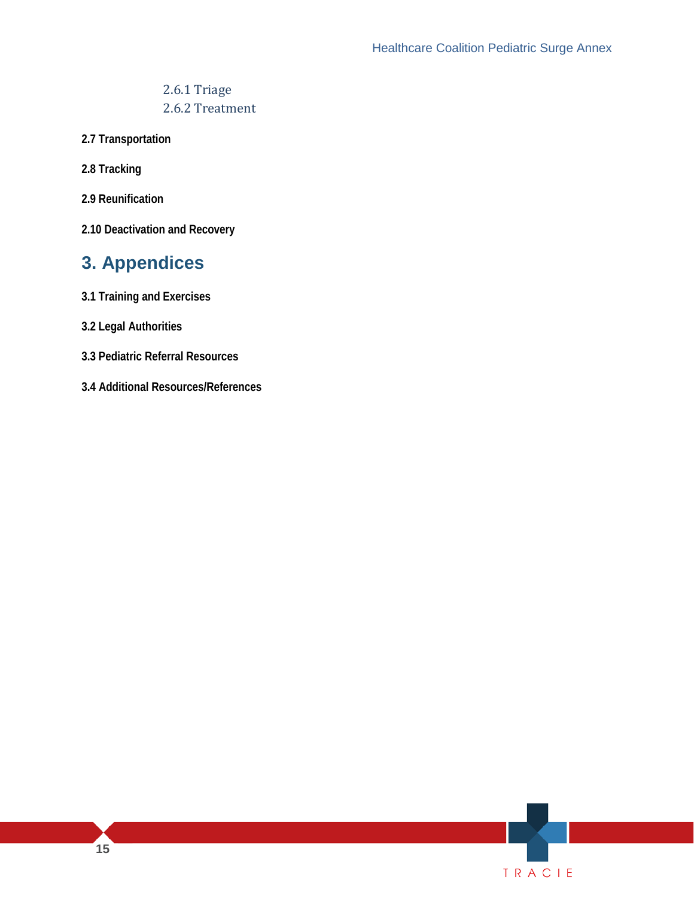### 2.6.1 Triage 2.6.2 Treatment

- **2.7 Transportation**
- **2.8 Tracking**
- **2.9 Reunification**
- **2.10 Deactivation and Recovery**

### **3. Appendices**

- **3.1 Training and Exercises**
- **3.2 Legal Authorities**
- **3.3 Pediatric Referral Resources**
- **3.4 Additional Resources/References**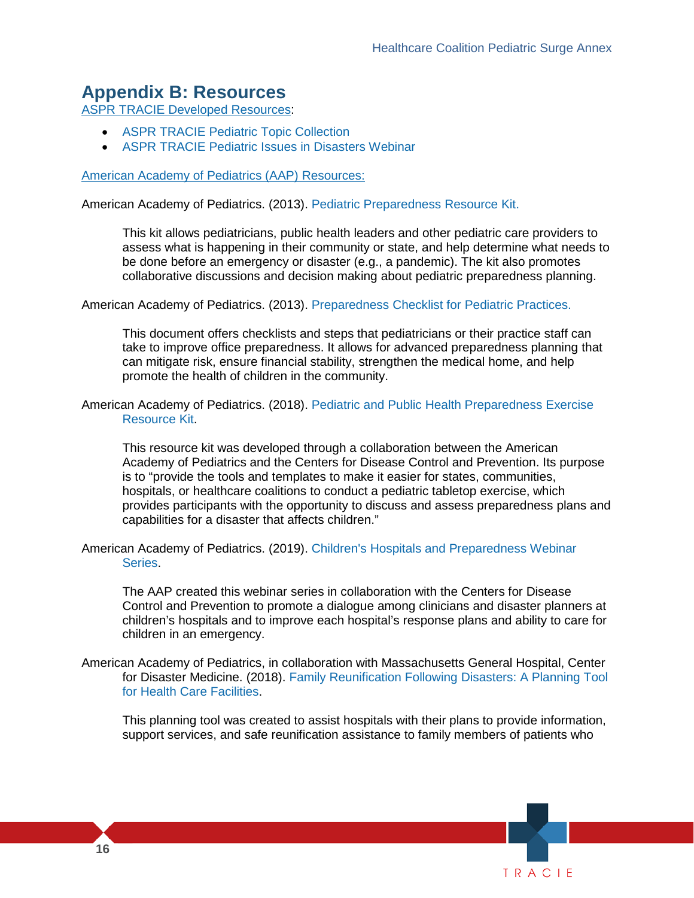### **Appendix B: Resources**

[ASPR TRACIE Developed Resources:](https://asprtracie.hhs.gov/tracie-resources)

- [ASPR TRACIE Pediatric Topic Collection](https://asprtracie.hhs.gov/technical-resources/31/pediatric/27)
- ASPR TRACIE [Pediatric Issues in Disasters Webinar](https://files.asprtracie.hhs.gov/documents/aspr--tracie-pediatric-issues-in-disasters-webinar.pdf)

#### American Academy of Pediatrics (AAP) Resources:

American Academy of Pediatrics. (2013). [Pediatric Preparedness Resource Kit.](https://www.aap.org/en-us/advocacy-and-policy/aap-health-initiatives/Children-and-Disasters/Documents/PedPreparednessKit.pdf)

This kit allows pediatricians, public health leaders and other pediatric care providers to assess what is happening in their community or state, and help determine what needs to be done before an emergency or disaster (e.g., a pandemic). The kit also promotes collaborative discussions and decision making about pediatric preparedness planning.

American Academy of Pediatrics. (2013). [Preparedness Checklist for Pediatric Practices.](https://www.aap.org/en-us/advocacy-and-policy/aap-health-initiatives/Children-and-Disasters/Documents/PedPreparednessChecklist1b.pdf)

This document offers checklists and steps that pediatricians or their practice staff can take to improve office preparedness. It allows for advanced preparedness planning that can mitigate risk, ensure financial stability, strengthen the medical home, and help promote the health of children in the community.

American Academy of Pediatrics. (2018). [Pediatric and Public Health Preparedness Exercise](https://www.aap.org/en-us/Documents/Tabletop_Exercise_Resource_Kit.pdf)  [Resource Kit.](https://www.aap.org/en-us/Documents/Tabletop_Exercise_Resource_Kit.pdf)

 is to "provide the tools and templates to make it easier for states, communities, This resource kit was developed through a collaboration between the American Academy of Pediatrics and the Centers for Disease Control and Prevention. Its purpose hospitals, or healthcare coalitions to conduct a pediatric tabletop exercise, which provides participants with the opportunity to discuss and assess preparedness plans and capabilities for a disaster that affects children."

 American Academy of Pediatrics. (2019). [Children's Hospitals and Preparedness Webinar](https://www.aap.org/en-us/advocacy-and-policy/aap-health-initiatives/Children-and-Disasters/Pages/Disaster-Preparedness-and-Response-Webinar-Archives.aspx)  [Series.](https://www.aap.org/en-us/advocacy-and-policy/aap-health-initiatives/Children-and-Disasters/Pages/Disaster-Preparedness-and-Response-Webinar-Archives.aspx)

 children's hospitals and to improve each hospital's response plans and ability to care for The AAP created this webinar series in collaboration with the Centers for Disease Control and Prevention to promote a dialogue among clinicians and disaster planners at children in an emergency.

 for Disaster Medicine. (2018). [Family Reunification Following Disasters: A Planning Tool](https://www.aap.org/en-us/Documents/AAP-Reunification-Toolkit.pdf)  American Academy of Pediatrics, in collaboration with Massachusetts General Hospital, Center [for Health Care Facilities.](https://www.aap.org/en-us/Documents/AAP-Reunification-Toolkit.pdf)

This planning tool was created to assist hospitals with their plans to provide information, support services, and safe reunification assistance to family members of patients who

TR <sup>A</sup> CIE

**16**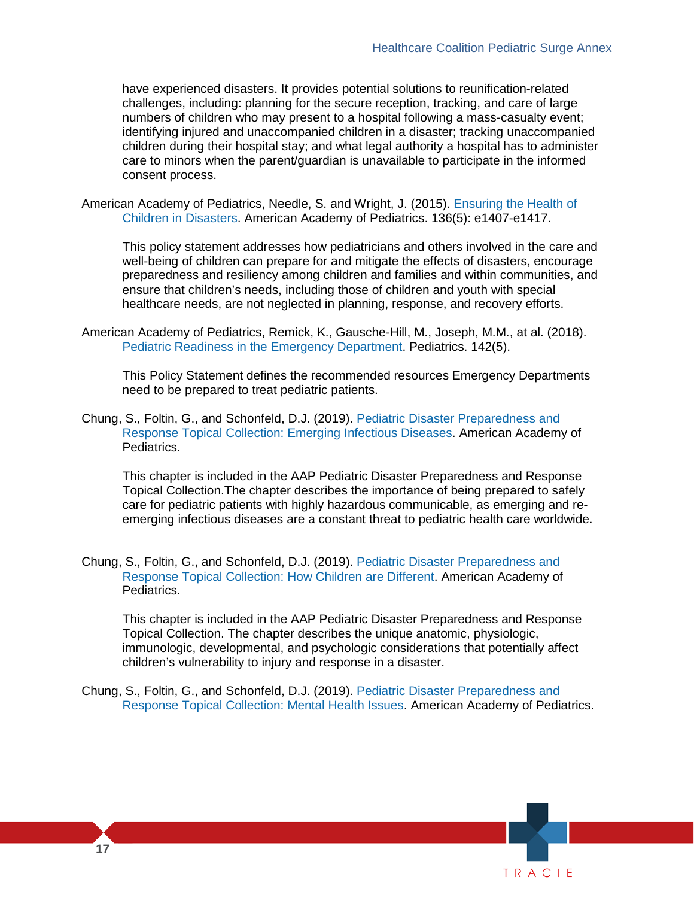have experienced disasters. It provides potential solutions to reunification-related challenges, including: planning for the secure reception, tracking, and care of large numbers of children who may present to a hospital following a mass-casualty event; identifying injured and unaccompanied children in a disaster; tracking unaccompanied children during their hospital stay; and what legal authority a hospital has to administer care to minors when the parent/guardian is unavailable to participate in the informed consent process.

American Academy of Pediatrics, Needle, S. and Wright, J. (2015). [Ensuring the Health of](https://pediatrics.aappublications.org/content/136/5/e1407)  [Children in Disasters.](https://pediatrics.aappublications.org/content/136/5/e1407) American Academy of Pediatrics. 136(5): e1407-e1417.

This policy statement addresses how pediatricians and others involved in the care and well-being of children can prepare for and mitigate the effects of disasters, encourage preparedness and resiliency among children and families and within communities, and ensure that children's needs, including those of children and youth with special healthcare needs, are not neglected in planning, response, and recovery efforts.

 American Academy of Pediatrics, Remick, K., Gausche-Hill, M., Joseph, M.M., at al. (2018). [Pediatric Readiness in the Emergency Department.](https://pediatrics.aappublications.org/content/142/5/e20182459) Pediatrics. 142(5).

This Policy Statement defines the recommended resources Emergency Departments need to be prepared to treat pediatric patients.

 Chung, S., Foltin, G., and Schonfeld, D.J. (2019). [Pediatric Disaster Preparedness and](https://downloads.aap.org/DOCHW/Topical-Collection-Chapter-5.pdf)  [Response Topical Collection: Emerging Infectious Diseases.](https://downloads.aap.org/DOCHW/Topical-Collection-Chapter-5.pdf) American Academy of Pediatrics.

 emerging infectious diseases are a constant threat to pediatric health care worldwide. This chapter is included in the AAP Pediatric Disaster Preparedness and Response Topical Collection.The chapter describes the importance of being prepared to safely care for pediatric patients with highly hazardous communicable, as emerging and re-

 Chung, S., Foltin, G., and Schonfeld, D.J. (2019). [Pediatric Disaster Preparedness and](https://downloads.aap.org/DOCHW/Topical-Collection-Chapter-1.pdf)  [Response Topical Collection: How Children are Different.](https://downloads.aap.org/DOCHW/Topical-Collection-Chapter-1.pdf) American Academy of Pediatrics.

This chapter is included in the AAP Pediatric Disaster Preparedness and Response Topical Collection. The chapter describes the unique anatomic, physiologic, immunologic, developmental, and psychologic considerations that potentially affect children's vulnerability to injury and response in a disaster.

 Chung, S., Foltin, G., and Schonfeld, D.J. (2019). [Pediatric Disaster Preparedness and](https://downloads.aap.org/DOCHW/Topical-Collection-Chapter-4.pdf)  [Response Topical Collection: Mental Health Issues.](https://downloads.aap.org/DOCHW/Topical-Collection-Chapter-4.pdf) American Academy of Pediatrics.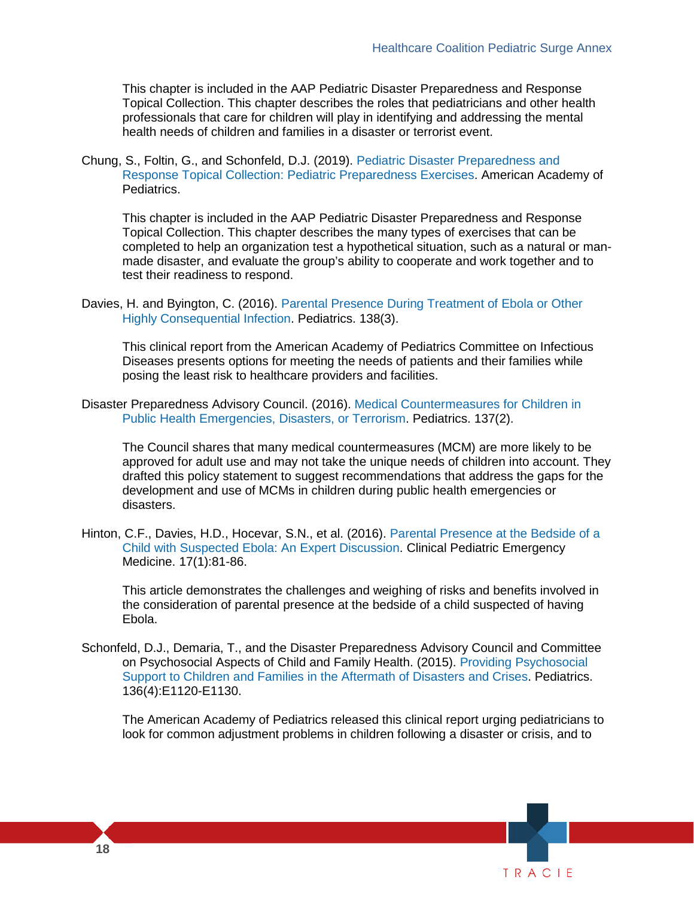This chapter is included in the AAP Pediatric Disaster Preparedness and Response Topical Collection. This chapter describes the roles that pediatricians and other health professionals that care for children will play in identifying and addressing the mental health needs of children and families in a disaster or terrorist event.

Chung, S., Foltin, G., and Schonfeld, D.J. (2019). [Pediatric Disaster Preparedness and](https://downloads.aap.org/DOCHW/Topical-Collection-Chapter-6.pdf)  [Response Topical Collection: Pediatric Preparedness Exercises.](https://downloads.aap.org/DOCHW/Topical-Collection-Chapter-6.pdf) American Academy of Pediatrics.

 test their readiness to respond. This chapter is included in the AAP Pediatric Disaster Preparedness and Response Topical Collection. This chapter describes the many types of exercises that can be completed to help an organization test a hypothetical situation, such as a natural or manmade disaster, and evaluate the group's ability to cooperate and work together and to

 Davies, H. and Byington, C. (2016). [Parental Presence During Treatment of Ebola or Other](https://pediatrics.aappublications.org/content/138/3/e20161891)  [Highly Consequential Infection.](https://pediatrics.aappublications.org/content/138/3/e20161891) Pediatrics. 138(3).

 This clinical report from the American Academy of Pediatrics Committee on Infectious Diseases presents options for meeting the needs of patients and their families while posing the least risk to healthcare providers and facilities.

Disaster Preparedness Advisory Council. (2016). [Medical Countermeasures for Children in](https://pediatrics.aappublications.org/content/137/2/e20154273)  [Public Health Emergencies, Disasters, or Terrorism.](https://pediatrics.aappublications.org/content/137/2/e20154273) Pediatrics. 137(2).

 approved for adult use and may not take the unique needs of children into account. They drafted this policy statement to suggest recommendations that address the gaps for the The Council shares that many medical countermeasures (MCM) are more likely to be development and use of MCMs in children during public health emergencies or disasters.

Hinton, C.F., Davies, H.D., Hocevar, S.N., et al. (2016). [Parental Presence at the Bedside of a](https://www.sciencedirect.com/science/article/pii/S1522840116000033)  [Child with Suspected Ebola: An Expert Discussion.](https://www.sciencedirect.com/science/article/pii/S1522840116000033) [Clinical Pediatric Emergency](https://www.sciencedirect.com/science/journal/15228401)  [Medicine.](https://www.sciencedirect.com/science/journal/15228401) 17(1):81-86.

This article demonstrates the challenges and weighing of risks and benefits involved in the consideration of parental presence at the bedside of a child suspected of having Ebola.

 on Psychosocial Aspects of Child and Family Health. (2015). [Providing Psychosocial](https://pediatrics.aappublications.org/content/136/4/e1120)  Schonfeld, D.J., Demaria, T., and the Disaster Preparedness Advisory Council and Committee [Support to Children and Families in the Aftermath of Disasters and Crises.](https://pediatrics.aappublications.org/content/136/4/e1120) Pediatrics. 136(4):E1120-E1130.

The American Academy of Pediatrics released this clinical report urging pediatricians to look for common adjustment problems in children following a disaster or crisis, and to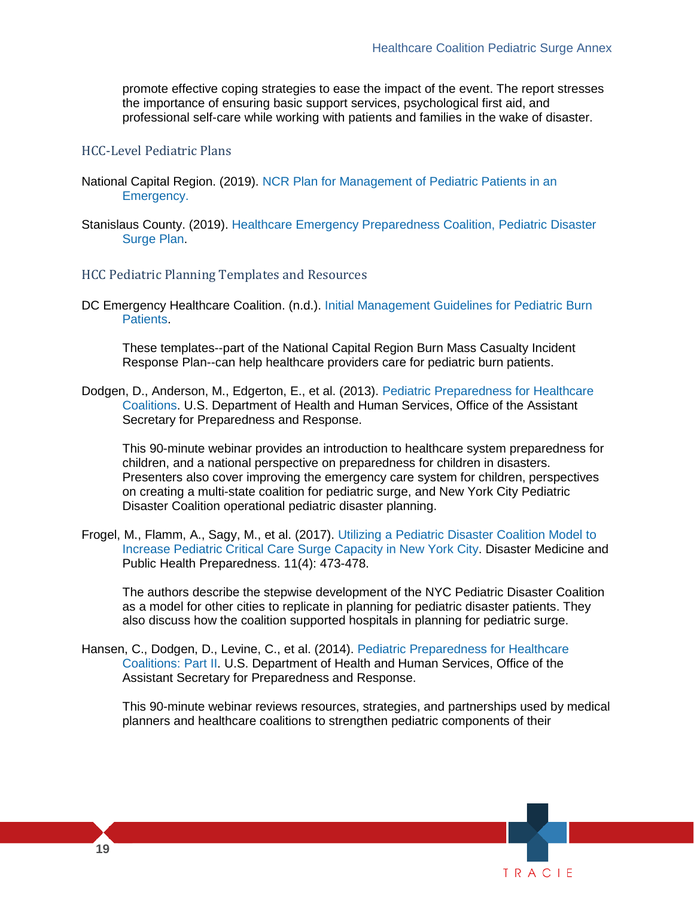the importance of ensuring basic support services, psychological first aid, and promote effective coping strategies to ease the impact of the event. The report stresses professional self-care while working with patients and families in the wake of disaster.

#### HCC-Level Pediatric Plans

- Emergency. National Capital Region. (2019). [NCR Plan for Management of Pediatric Patients in an](https://files.asprtracie.hhs.gov/documents/ncr-pediatric-surge-plan-version-8.pdf)
- [Emergency.](https://files.asprtracie.hhs.gov/documents/ncr-pediatric-surge-plan-version-8.pdf) Stanislaus County. (2019). [Healthcare Emergency Preparedness Coalition, Pediatric Disaster](https://files.asprtracie.hhs.gov/documents/stanislaus-calif-pediatric-disaster-surge-plan-draft-1-23-19.pdf)  [Surge Plan.](https://files.asprtracie.hhs.gov/documents/stanislaus-calif-pediatric-disaster-surge-plan-draft-1-23-19.pdf)

#### HCC Pediatric Planning Templates and Resources

 DC Emergency Healthcare Coalition. (n.d.). [Initial Management Guidelines for Pediatric Burn](https://files.asprtracie.hhs.gov/documents/attachment-4a-initial-management-guidelines-for-pediatric-burn-patients-diaster-508.pdf)  [Patients.](https://files.asprtracie.hhs.gov/documents/attachment-4a-initial-management-guidelines-for-pediatric-burn-patients-diaster-508.pdf)

These templates--part of the National Capital Region Burn Mass Casualty Incident Response Plan--can help healthcare providers care for pediatric burn patients.

 Dodgen, D., Anderson, M., Edgerton, E., et al. (2013). [Pediatric Preparedness for Healthcare](http://www.phe.gov/Preparedness/planning/abc/Pages/webinar-resources-130620.aspx)  [Coalitions.](http://www.phe.gov/Preparedness/planning/abc/Pages/webinar-resources-130620.aspx) U.S. Department of Health and Human Services, Office of the Assistant Secretary for Preparedness and Response.

 children, and a national perspective on preparedness for children in disasters. This 90-minute webinar provides an introduction to healthcare system preparedness for Presenters also cover improving the emergency care system for children, perspectives on creating a multi-state coalition for pediatric surge, and New York City Pediatric Disaster Coalition operational pediatric disaster planning.

Frogel, M., Flamm, A., Sagy, M., et al. (2017). [Utilizing a Pediatric Disaster Coalition Model to](https://www.cambridge.org/core/journals/disaster-medicine-and-public-health-preparedness/article/utilizing-a-pediatric-disaster-coalition-model-to-increase-pediatric-critical-care-surge-capacity-in-new-york-city/4681D4D484EFD7C1BC9A6FA3E4DCD2F6)  [Increase Pediatric Critical Care Surge Capacity in New York City.](https://www.cambridge.org/core/journals/disaster-medicine-and-public-health-preparedness/article/utilizing-a-pediatric-disaster-coalition-model-to-increase-pediatric-critical-care-surge-capacity-in-new-york-city/4681D4D484EFD7C1BC9A6FA3E4DCD2F6) Disaster Medicine and Public Health Preparedness. 11(4): 473-478.

The authors describe the stepwise development of the NYC Pediatric Disaster Coalition as a model for other cities to replicate in planning for pediatric disaster patients. They also discuss how the coalition supported hospitals in planning for pediatric surge.

 [Coalitions: Part II.](https://www.youtube.com/watch?v=-b4MyO-q_WM&list=UUqFunGBhuL-l7xiNJsSjvEQ) U.S. Department of Health and Human Services, Office of the Hansen, C., Dodgen, D., Levine, C., et al. (2014). [Pediatric Preparedness for Healthcare](https://www.youtube.com/watch?v=-b4MyO-q_WM&list=UUqFunGBhuL-l7xiNJsSjvEQ)  Assistant Secretary for Preparedness and Response.

 planners and healthcare coalitions to strengthen pediatric components of their This 90-minute webinar reviews resources, strategies, and partnerships used by medical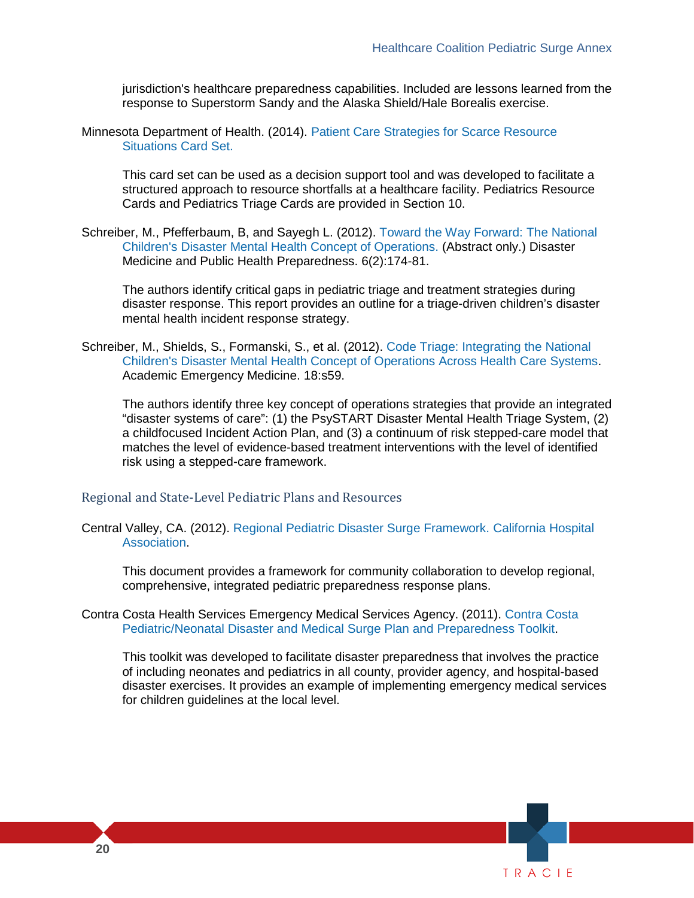jurisdiction's healthcare preparedness capabilities. Included are lessons learned from the response to Superstorm Sandy and the Alaska Shield/Hale Borealis exercise.

Minnesota Department of Health. (2014). [Patient Care Strategies for Scarce Resource](http://www.cidrap.umn.edu/sites/default/files/public/php/Strategies%20for%20Scarce%20Resource%20Situations.pdf)  [Situations Card Set.](http://www.cidrap.umn.edu/sites/default/files/public/php/Strategies%20for%20Scarce%20Resource%20Situations.pdf) 

This card set can be used as a decision support tool and was developed to facilitate a structured approach to resource shortfalls at a healthcare facility. Pediatrics Resource Cards and Pediatrics Triage Cards are provided in Section 10.

Schreiber, M., Pfefferbaum, B, and Sayegh L. (2012). [Toward the Way Forward: The National](https://www.ncbi.nlm.nih.gov/pubmed/22700028)  [Children's Disaster Mental Health Concept of Operations.](https://www.ncbi.nlm.nih.gov/pubmed/22700028) (Abstract only.) Disaster Medicine and Public Health Preparedness. 6(2):174-81.

 The authors identify critical gaps in pediatric triage and treatment strategies during disaster response. This report provides an outline for a triage-driven children's disaster mental health incident response strategy.

Schreiber, M., Shields, S., Formanski, S., et al. (2012). [Code Triage: Integrating the National](http://file.lacounty.gov/SDSInter/dhs/222419_CodeTriage-IntegratingtheNationalChildConOPS-Published2014.pdf)  [Children's Disaster Mental Health Concept of Operations Across Health Care Systems.](http://file.lacounty.gov/SDSInter/dhs/222419_CodeTriage-IntegratingtheNationalChildConOPS-Published2014.pdf) Academic Emergency Medicine. 18:s59.

 a childfocused Incident Action Plan, and (3) a continuum of risk stepped-care model that The authors identify three key concept of operations strategies that provide an integrated "disaster systems of care": (1) the PsySTART Disaster Mental Health Triage System, (2) matches the level of evidence-based treatment interventions with the level of identified risk using a stepped-care framework.

#### Regional and State-Level Pediatric Plans and Resources

 Central Valley, CA. (2012). [Regional Pediatric Disaster Surge Framework. California Hospital](http://www.calhospitalprepare.org/sites/main/files/file-attachments/12.6.12_final_cv_framework.pdf)  [Association.](http://www.calhospitalprepare.org/sites/main/files/file-attachments/12.6.12_final_cv_framework.pdf)

This document provides a framework for community collaboration to develop regional, comprehensive, integrated pediatric preparedness response plans.

 Contra Costa Health Services Emergency Medical Services Agency. (2011). [Contra Costa](http://cchealth.org/ems/pdf/emsc_ped_final.pdf)  [Pediatric/Neonatal Disaster and Medical Surge Plan and Preparedness Toolkit.](http://cchealth.org/ems/pdf/emsc_ped_final.pdf)

This toolkit was developed to facilitate disaster preparedness that involves the practice of including neonates and pediatrics in all county, provider agency, and hospital-based disaster exercises. It provides an example of implementing emergency medical services for children guidelines at the local level.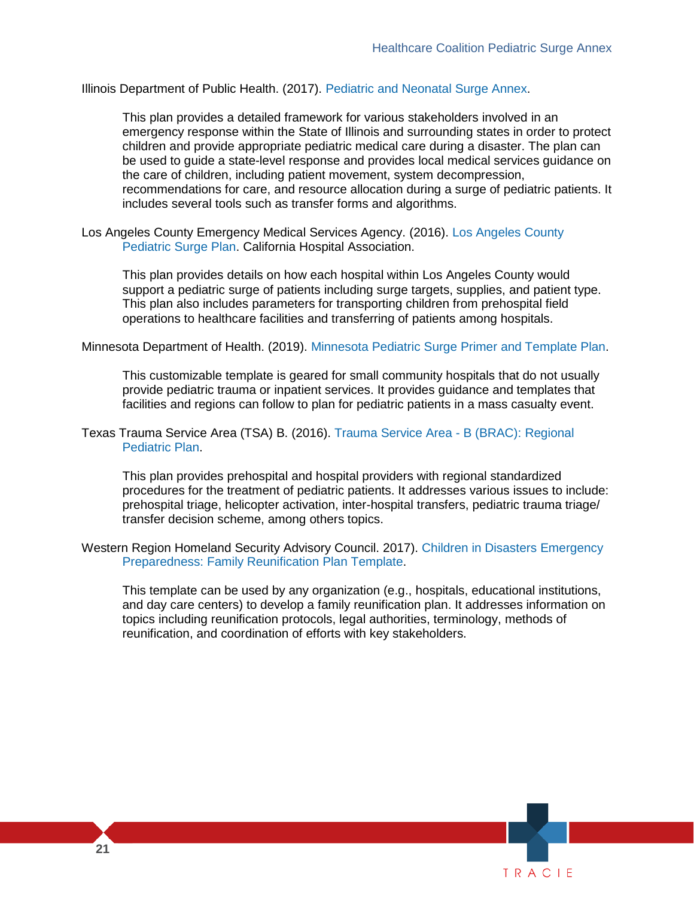Illinois Department of Public Health. (2017). [Pediatric and Neonatal Surge Annex.](http://www.dph.illinois.gov/sites/default/files/publications/peds-neo-surge-annex-final-march2017-public-complete-file-031417.pdf)

 be used to guide a state-level response and provides local medical services guidance on the care of children, including patient movement, system decompression, recommendations for care, and resource allocation during a surge of pediatric patients. It includes several tools such as transfer forms and algorithms. This plan provides a detailed framework for various stakeholders involved in an emergency response within the State of Illinois and surrounding states in order to protect children and provide appropriate pediatric medical care during a disaster. The plan can

Los Angeles County Emergency Medical Services Agency. (2016). [Los Angeles County](http://file.lacounty.gov/SDSInter/dhs/206938_cms1_206938.pdf)  [Pediatric Surge Plan.](http://file.lacounty.gov/SDSInter/dhs/206938_cms1_206938.pdf) California Hospital Association.

 This plan also includes parameters for transporting children from prehospital field operations to healthcare facilities and transferring of patients among hospitals. This plan provides details on how each hospital within Los Angeles County would support a pediatric surge of patients including surge targets, supplies, and patient type.

#### Minnesota Department of Health. (2019)[. Minnesota Pediatric Surge Primer and Template Plan.](https://www.health.state.mn.us/communities/ep/surge/pediatric/primer.pdf)

 This customizable template is geared for small community hospitals that do not usually facilities and regions can follow to plan for pediatric patients in a mass casualty event. provide pediatric trauma or inpatient services. It provides guidance and templates that

 Texas Trauma Service Area (TSA) B. (2016). [Trauma Service Area -](http://www.b-rac.org/BRAC_Regional_Pediatric_Plan__04-16_.pdf) B (BRAC): Regional [Pediatric Plan.](http://www.b-rac.org/BRAC_Regional_Pediatric_Plan__04-16_.pdf)

 procedures for the treatment of pediatric patients. It addresses various issues to include: This plan provides prehospital and hospital providers with regional standardized prehospital triage, helicopter activation, inter-hospital transfers, pediatric trauma triage/ transfer decision scheme, among others topics.

Western Region Homeland Security Advisory Council. 2017). [Children in Disasters Emergency](http://wrhsac.org/wp-content/uploads/2017/10/Family-Reunification-Plan-Template_FINAL_8-31-17_incl.-appendices-pages-all-portrait.pdf)  [Preparedness: Family Reunification Plan Template.](http://wrhsac.org/wp-content/uploads/2017/10/Family-Reunification-Plan-Template_FINAL_8-31-17_incl.-appendices-pages-all-portrait.pdf)

 topics including reunification protocols, legal authorities, terminology, methods of This template can be used by any organization (e.g., hospitals, educational institutions, and day care centers) to develop a family reunification plan. It addresses information on reunification, and coordination of efforts with key stakeholders.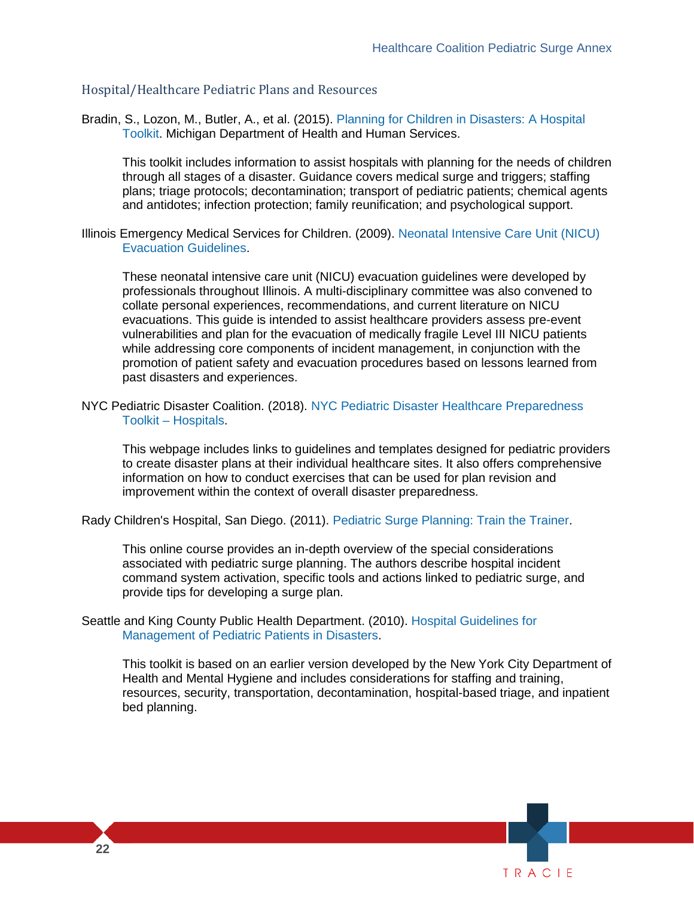#### Hospital/Healthcare Pediatric Plans and Resources

Bradin, S., Lozon, M., Butler, A., et al. (2015). [Planning for Children in Disasters: A Hospital](http://www.michigan.gov/documents/mdch/Planning_for_Children_in_Disasters_15_495237_7.pdf)  [Toolkit.](http://www.michigan.gov/documents/mdch/Planning_for_Children_in_Disasters_15_495237_7.pdf) Michigan Department of Health and Human Services.

 plans; triage protocols; decontamination; transport of pediatric patients; chemical agents This toolkit includes information to assist hospitals with planning for the needs of children through all stages of a disaster. Guidance covers medical surge and triggers; staffing and antidotes; infection protection; family reunification; and psychological support.

 Illinois Emergency Medical Services for Children. (2009). [Neonatal Intensive Care Unit \(NICU\)](http://www.calhospitalprepare.org/sites/main/files/file-attachments/nicu_evac_guidelines.pdf)  [Evacuation Guidelines.](http://www.calhospitalprepare.org/sites/main/files/file-attachments/nicu_evac_guidelines.pdf)

 evacuations. This guide is intended to assist healthcare providers assess pre-event These neonatal intensive care unit (NICU) evacuation guidelines were developed by professionals throughout Illinois. A multi-disciplinary committee was also convened to collate personal experiences, recommendations, and current literature on NICU vulnerabilities and plan for the evacuation of medically fragile Level III NICU patients while addressing core components of incident management, in conjunction with the promotion of patient safety and evacuation procedures based on lessons learned from past disasters and experiences.

 NYC Pediatric Disaster Coalition. (2018). [NYC Pediatric Disaster Healthcare Preparedness](http://www.programinfosite.com/pdc/hospital-toolkit/)  [Toolkit – Hospitals.](http://www.programinfosite.com/pdc/hospital-toolkit/)

 This webpage includes links to guidelines and templates designed for pediatric providers to create disaster plans at their individual healthcare sites. It also offers comprehensive information on how to conduct exercises that can be used for plan revision and improvement within the context of overall disaster preparedness.

Rady Children's Hospital, San Diego. (2011). [Pediatric Surge Planning: Train the Trainer.](https://calhospitalprepare.org/sites/main/files/file-attachments/pediatricsurgeplanningrchsdtttmaterials.pdf)

 This online course provides an in-depth overview of the special considerations provide tips for developing a surge plan. associated with pediatric surge planning. The authors describe hospital incident command system activation, specific tools and actions linked to pediatric surge, and

Seattle and King County Public Health Department. (2010). Hospital Guidelines for [Management of Pediatric Patients in Disasters.](https://www.oregon.gov/oha/PH/PROVIDERPARTNERRESOURCES/EMSTRAUMASYSTEMS/EMSFORCHILDREN/Documents/HospitalMgmtPedsPatientsDisasters.pdf)

This toolkit is based on an earlier version developed by the New York City Department of Health and Mental Hygiene and includes considerations for staffing and training, resources, security, transportation, decontamination, hospital-based triage, and inpatient bed planning.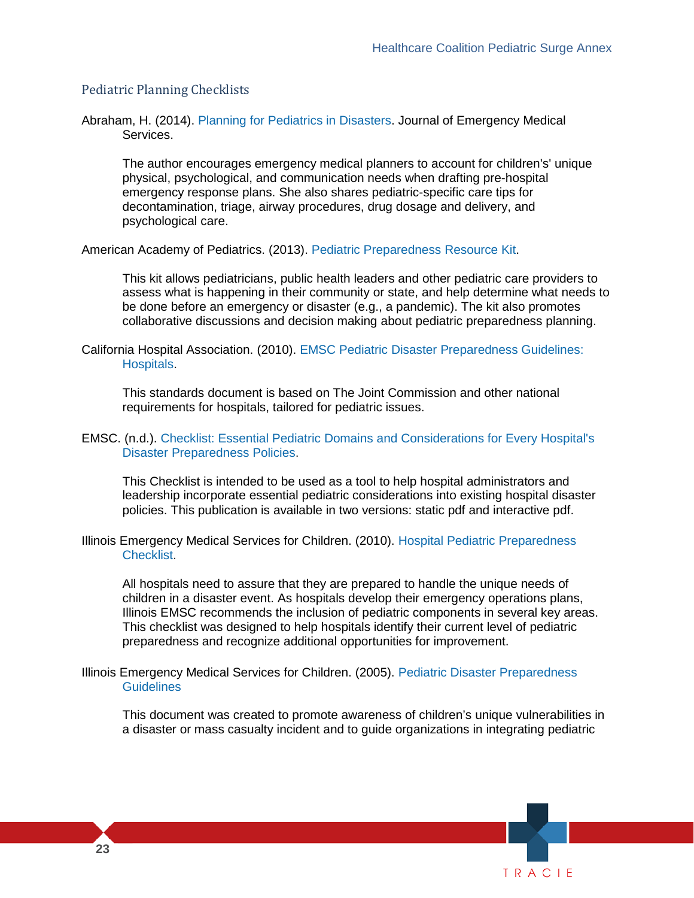#### Pediatric Planning Checklists

Abraham, H. (2014). [Planning for Pediatrics in Disasters.](https://www.jems.com/articles/print/volume-39/issue-9/features/planning-pediatrics-disasters.html) Journal of Emergency Medical Services.

 The author encourages emergency medical planners to account for children's' unique decontamination, triage, airway procedures, drug dosage and delivery, and physical, psychological, and communication needs when drafting pre-hospital emergency response plans. She also shares pediatric-specific care tips for psychological care.

American Academy of Pediatrics. (2013). [Pediatric Preparedness Resource Kit.](https://www.aap.org/en-us/advocacy-and-policy/aap-health-initiatives/Children-and-Disasters/Pages/Pediatric-Preparedness-Resource-Kit.aspx)

This kit allows pediatricians, public health leaders and other pediatric care providers to assess what is happening in their community or state, and help determine what needs to be done before an emergency or disaster (e.g., a pandemic). The kit also promotes collaborative discussions and decision making about pediatric preparedness planning.

 California Hospital Association. (2010). [EMSC Pediatric Disaster Preparedness Guidelines:](https://www.calhospitalprepare.org/post/pediatric-disaster-preparedness-guidelines-hospitals)  [Hospitals.](https://www.calhospitalprepare.org/post/pediatric-disaster-preparedness-guidelines-hospitals)

 requirements for hospitals, tailored for pediatric issues. This standards document is based on The Joint Commission and other national

#### EMSC. (n.d.). [Checklist: Essential Pediatric Domains and Considerations for Every Hospital's](https://emsc-appbucket-10vf0pl70rnvo.s3.amazonaws.com/media/legacy_documents/Checklist_HospitalDisasterPrepared2125.pdf?AWSAccessKeyId=ASIATSFNXF4LQQSLQ6M5&Signature=d6vv9vn4oPY6zOl6MheFvz%2FDhec%3D&x-amz-security-token=FQoGZXIvYXdzEE4aDOkjQs0RGcZ5l%2Bko7yLiAXpaTOUGBAD337n3UVA8HKB3k8P2cpwv5j4CYUP%2B2%2F5G%2FLJ0%2FTnMbPW3%2BsGs1nrN8pVOz%2B%2BdY3NQ%2B2Ij5XIhgiNaLMJILCNnDqSCcQpwcWBNi6DRx7YeQd7ZOF1ApDVosx1FqXnu5qhSPOOGZ9alWDigQR36IEd4M1K%2BUT9%2FEvyrAM8%2B4DQ7EX%2FftSnhO4Sra2xlF5oqO9jNSnFdFjsrXMVG65NcmN7qyDDVhGo5znMXSi86TmD4e%2B3%2BQikY%2FkRQ0f79dykRlErtjSBQSQk6hg1rjcMGqB2aN86yL6Jqxkz7RkIohPHc4QU%3D&Expires=1547149677)  [Disaster Preparedness Policies.](https://emsc-appbucket-10vf0pl70rnvo.s3.amazonaws.com/media/legacy_documents/Checklist_HospitalDisasterPrepared2125.pdf?AWSAccessKeyId=ASIATSFNXF4LQQSLQ6M5&Signature=d6vv9vn4oPY6zOl6MheFvz%2FDhec%3D&x-amz-security-token=FQoGZXIvYXdzEE4aDOkjQs0RGcZ5l%2Bko7yLiAXpaTOUGBAD337n3UVA8HKB3k8P2cpwv5j4CYUP%2B2%2F5G%2FLJ0%2FTnMbPW3%2BsGs1nrN8pVOz%2B%2BdY3NQ%2B2Ij5XIhgiNaLMJILCNnDqSCcQpwcWBNi6DRx7YeQd7ZOF1ApDVosx1FqXnu5qhSPOOGZ9alWDigQR36IEd4M1K%2BUT9%2FEvyrAM8%2B4DQ7EX%2FftSnhO4Sra2xlF5oqO9jNSnFdFjsrXMVG65NcmN7qyDDVhGo5znMXSi86TmD4e%2B3%2BQikY%2FkRQ0f79dykRlErtjSBQSQk6hg1rjcMGqB2aN86yL6Jqxkz7RkIohPHc4QU%3D&Expires=1547149677)

This Checklist is intended to be used as a tool to help hospital administrators and leadership incorporate essential pediatric considerations into existing hospital disaster policies. This publication is available in two versions: static pdf and interactive pdf.

 Illinois Emergency Medical Services for Children. (2010). [Hospital Pediatric Preparedness](https://emsc-appbucket-10vf0pl70rnvo.s3.amazonaws.com/media/legacy_documents/Hospital_Preparedness_Checklist2125.pdf?AWSAccessKeyId=ASIATSFNXF4LQQSLQ6M5&Signature=sxvaB3%2F6JaQ8%2FYm3jybPdkub23w%3D&x-amz-security-token=FQoGZXIvYXdzEE4aDOkjQs0RGcZ5l%2Bko7yLiAXpaTOUGBAD337n3UVA8HKB3k8P2cpwv5j4CYUP%2B2%2F5G%2FLJ0%2FTnMbPW3%2BsGs1nrN8pVOz%2B%2BdY3NQ%2B2Ij5XIhgiNaLMJILCNnDqSCcQpwcWBNi6DRx7YeQd7ZOF1ApDVosx1FqXnu5qhSPOOGZ9alWDigQR36IEd4M1K%2BUT9%2FEvyrAM8%2B4DQ7EX%2FftSnhO4Sra2xlF5oqO9jNSnFdFjsrXMVG65NcmN7qyDDVhGo5znMXSi86TmD4e%2B3%2BQikY%2FkRQ0f79dykRlErtjSBQSQk6hg1rjcMGqB2aN86yL6Jqxkz7RkIohPHc4QU%3D&Expires=1547149793)  [Checklist.](https://emsc-appbucket-10vf0pl70rnvo.s3.amazonaws.com/media/legacy_documents/Hospital_Preparedness_Checklist2125.pdf?AWSAccessKeyId=ASIATSFNXF4LQQSLQ6M5&Signature=sxvaB3%2F6JaQ8%2FYm3jybPdkub23w%3D&x-amz-security-token=FQoGZXIvYXdzEE4aDOkjQs0RGcZ5l%2Bko7yLiAXpaTOUGBAD337n3UVA8HKB3k8P2cpwv5j4CYUP%2B2%2F5G%2FLJ0%2FTnMbPW3%2BsGs1nrN8pVOz%2B%2BdY3NQ%2B2Ij5XIhgiNaLMJILCNnDqSCcQpwcWBNi6DRx7YeQd7ZOF1ApDVosx1FqXnu5qhSPOOGZ9alWDigQR36IEd4M1K%2BUT9%2FEvyrAM8%2B4DQ7EX%2FftSnhO4Sra2xlF5oqO9jNSnFdFjsrXMVG65NcmN7qyDDVhGo5znMXSi86TmD4e%2B3%2BQikY%2FkRQ0f79dykRlErtjSBQSQk6hg1rjcMGqB2aN86yL6Jqxkz7RkIohPHc4QU%3D&Expires=1547149793)

All hospitals need to assure that they are prepared to handle the unique needs of children in a disaster event. As hospitals develop their emergency operations plans, Illinois EMSC recommends the inclusion of pediatric components in several key areas. This checklist was designed to help hospitals identify their current level of pediatric preparedness and recognize additional opportunities for improvement.

 Illinois Emergency Medical Services for Children. (2005). [Pediatric Disaster Preparedness](https://emsc-appbucket-10vf0pl70rnvo.s3.amazonaws.com/media/legacy_documents/peddisasterguide2125.pdf?AWSAccessKeyId=ASIATSFNXF4LQQSLQ6M5&Signature=w0RV5cAZ20WUnewW%2FJ8AqPE24Os%3D&x-amz-security-token=FQoGZXIvYXdzEE4aDOkjQs0RGcZ5l%2Bko7yLiAXpaTOUGBAD337n3UVA8HKB3k8P2cpwv5j4CYUP%2B2%2F5G%2FLJ0%2FTnMbPW3%2BsGs1nrN8pVOz%2B%2BdY3NQ%2B2Ij5XIhgiNaLMJILCNnDqSCcQpwcWBNi6DRx7YeQd7ZOF1ApDVosx1FqXnu5qhSPOOGZ9alWDigQR36IEd4M1K%2BUT9%2FEvyrAM8%2B4DQ7EX%2FftSnhO4Sra2xlF5oqO9jNSnFdFjsrXMVG65NcmN7qyDDVhGo5znMXSi86TmD4e%2B3%2BQikY%2FkRQ0f79dykRlErtjSBQSQk6hg1rjcMGqB2aN86yL6Jqxkz7RkIohPHc4QU%3D&Expires=1547149847)  [Guidelines](https://emsc-appbucket-10vf0pl70rnvo.s3.amazonaws.com/media/legacy_documents/peddisasterguide2125.pdf?AWSAccessKeyId=ASIATSFNXF4LQQSLQ6M5&Signature=w0RV5cAZ20WUnewW%2FJ8AqPE24Os%3D&x-amz-security-token=FQoGZXIvYXdzEE4aDOkjQs0RGcZ5l%2Bko7yLiAXpaTOUGBAD337n3UVA8HKB3k8P2cpwv5j4CYUP%2B2%2F5G%2FLJ0%2FTnMbPW3%2BsGs1nrN8pVOz%2B%2BdY3NQ%2B2Ij5XIhgiNaLMJILCNnDqSCcQpwcWBNi6DRx7YeQd7ZOF1ApDVosx1FqXnu5qhSPOOGZ9alWDigQR36IEd4M1K%2BUT9%2FEvyrAM8%2B4DQ7EX%2FftSnhO4Sra2xlF5oqO9jNSnFdFjsrXMVG65NcmN7qyDDVhGo5znMXSi86TmD4e%2B3%2BQikY%2FkRQ0f79dykRlErtjSBQSQk6hg1rjcMGqB2aN86yL6Jqxkz7RkIohPHc4QU%3D&Expires=1547149847) 

This document was created to promote awareness of children's unique vulnerabilities in a disaster or mass casualty incident and to guide organizations in integrating pediatric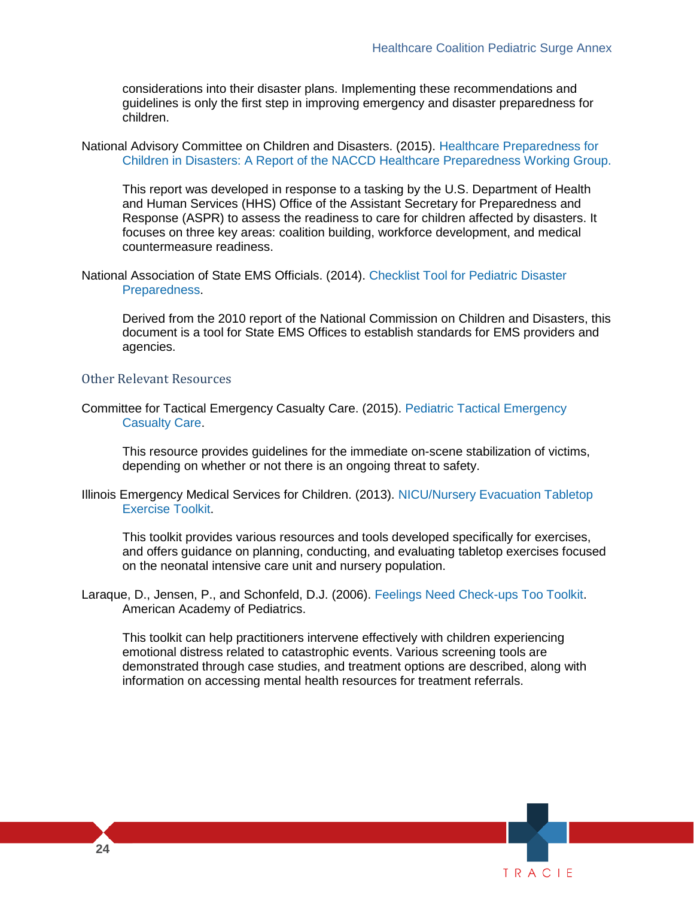guidelines is only the first step in improving emergency and disaster preparedness for considerations into their disaster plans. Implementing these recommendations and children.

 National Advisory Committee on Children and Disasters. (2015). [Healthcare Preparedness for](http://www.phe.gov/Preparedness/legal/boards/naccd/Documents/healthcare-prep-wg-20151311.pdf)  [Children in Disasters: A Report of the NACCD Healthcare Preparedness Working Group.](http://www.phe.gov/Preparedness/legal/boards/naccd/Documents/healthcare-prep-wg-20151311.pdf) 

 This report was developed in response to a tasking by the U.S. Department of Health and Human Services (HHS) Office of the Assistant Secretary for Preparedness and Response (ASPR) to assess the readiness to care for children affected by disasters. It focuses on three key areas: coalition building, workforce development, and medical countermeasure readiness.

 National Association of State EMS Officials. (2014). [Checklist Tool for Pediatric Disaster](https://nasemso.org/wp-content/uploads/NASEMSO-Pediatric-Disaster-Preparedness-Checklist-Tool-2014FINAL.pdf)  [Preparedness.](https://nasemso.org/wp-content/uploads/NASEMSO-Pediatric-Disaster-Preparedness-Checklist-Tool-2014FINAL.pdf)

 Derived from the 2010 report of the National Commission on Children and Disasters, this document is a tool for State EMS Offices to establish standards for EMS providers and agencies.

#### Other Relevant Resources

 Committee for Tactical Emergency Casualty Care. (2015). [Pediatric Tactical Emergency](http://www.c-tecc.org/images/content/FINAL_V.1.0_Pediatric_Guidelines.pdf)  [Casualty Care.](http://www.c-tecc.org/images/content/FINAL_V.1.0_Pediatric_Guidelines.pdf)

This resource provides guidelines for the immediate on-scene stabilization of victims, depending on whether or not there is an ongoing threat to safety.

 Illinois Emergency Medical Services for Children. (2013). [NICU/Nursery Evacuation Tabletop](http://ssom.luc.edu/media/stritchschoolofmedicine/emergencymedicine/emsforchildren/documents/disasterpreparedness/otherresources/disastertrainingandexercises/NICU_Nursery_EvacuationTTX_Toolkit%20FINAL(2).pdf)  [Exercise Toolkit.](http://ssom.luc.edu/media/stritchschoolofmedicine/emergencymedicine/emsforchildren/documents/disasterpreparedness/otherresources/disastertrainingandexercises/NICU_Nursery_EvacuationTTX_Toolkit%20FINAL(2).pdf)

 and offers guidance on planning, conducting, and evaluating tabletop exercises focused This toolkit provides various resources and tools developed specifically for exercises, on the neonatal intensive care unit and nursery population.

 Laraque, D., Jensen, P., and Schonfeld, D.J. (2006). [Feelings Need Check-ups Too Toolkit.](https://www.aap.org/en-us/advocacy-and-policy/aap-health-initiatives/Children-and-Disasters/Documents/Feelings-Need-Checkups-Toolkit_0823.pdf) American Academy of Pediatrics.

 This toolkit can help practitioners intervene effectively with children experiencing information on accessing mental health resources for treatment referrals. emotional distress related to catastrophic events. Various screening tools are demonstrated through case studies, and treatment options are described, along with